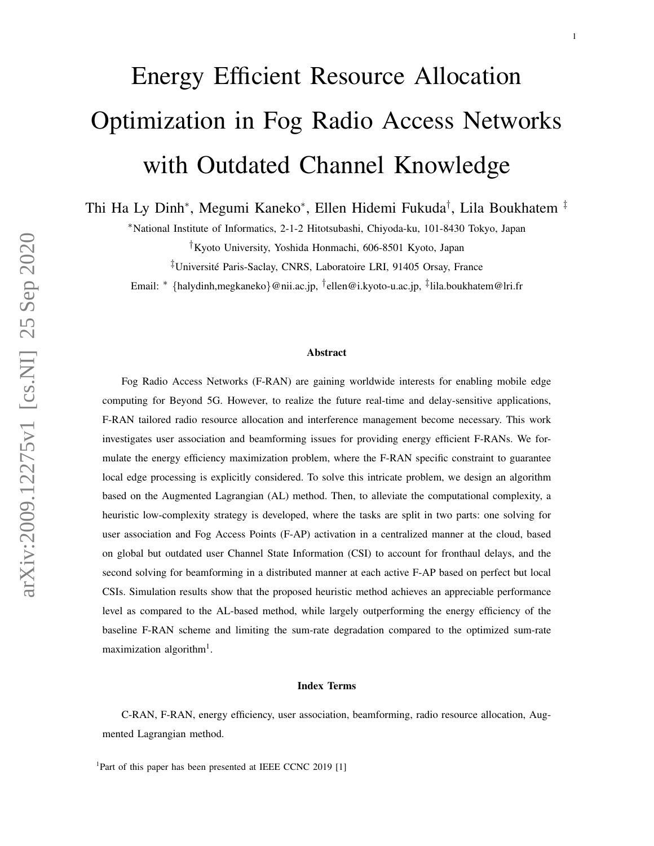# Energy Efficient Resource Allocation Optimization in Fog Radio Access Networks with Outdated Channel Knowledge

Thi Ha Ly Dinh<sup>∗</sup> , Megumi Kaneko<sup>∗</sup> , Ellen Hidemi Fukuda† , Lila Boukhatem ‡

<sup>∗</sup>National Institute of Informatics, 2-1-2 Hitotsubashi, Chiyoda-ku, 101-8430 Tokyo, Japan

†Kyoto University, Yoshida Honmachi, 606-8501 Kyoto, Japan

‡Universite Paris-Saclay, CNRS, Laboratoire LRI, 91405 Orsay, France ´

Email: <sup>∗</sup> {halydinh,megkaneko}@nii.ac.jp, † ellen@i.kyoto-u.ac.jp, ‡ lila.boukhatem@lri.fr

#### Abstract

Fog Radio Access Networks (F-RAN) are gaining worldwide interests for enabling mobile edge computing for Beyond 5G. However, to realize the future real-time and delay-sensitive applications, F-RAN tailored radio resource allocation and interference management become necessary. This work investigates user association and beamforming issues for providing energy efficient F-RANs. We formulate the energy efficiency maximization problem, where the F-RAN specific constraint to guarantee local edge processing is explicitly considered. To solve this intricate problem, we design an algorithm based on the Augmented Lagrangian (AL) method. Then, to alleviate the computational complexity, a heuristic low-complexity strategy is developed, where the tasks are split in two parts: one solving for user association and Fog Access Points (F-AP) activation in a centralized manner at the cloud, based on global but outdated user Channel State Information (CSI) to account for fronthaul delays, and the second solving for beamforming in a distributed manner at each active F-AP based on perfect but local CSIs. Simulation results show that the proposed heuristic method achieves an appreciable performance level as compared to the AL-based method, while largely outperforming the energy efficiency of the baseline F-RAN scheme and limiting the sum-rate degradation compared to the optimized sum-rate maximization algorithm<sup>1</sup>.

#### Index Terms

C-RAN, F-RAN, energy efficiency, user association, beamforming, radio resource allocation, Augmented Lagrangian method.

<sup>1</sup>Part of this paper has been presented at IEEE CCNC 2019 [1]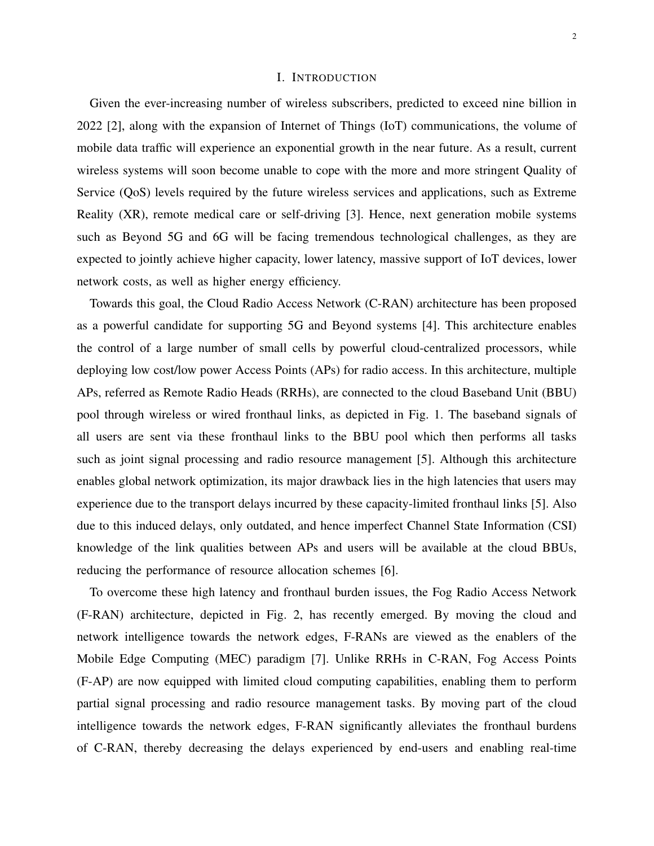## I. INTRODUCTION

Given the ever-increasing number of wireless subscribers, predicted to exceed nine billion in 2022 [2], along with the expansion of Internet of Things (IoT) communications, the volume of mobile data traffic will experience an exponential growth in the near future. As a result, current wireless systems will soon become unable to cope with the more and more stringent Quality of Service (QoS) levels required by the future wireless services and applications, such as Extreme Reality (XR), remote medical care or self-driving [3]. Hence, next generation mobile systems such as Beyond 5G and 6G will be facing tremendous technological challenges, as they are expected to jointly achieve higher capacity, lower latency, massive support of IoT devices, lower network costs, as well as higher energy efficiency.

Towards this goal, the Cloud Radio Access Network (C-RAN) architecture has been proposed as a powerful candidate for supporting 5G and Beyond systems [4]. This architecture enables the control of a large number of small cells by powerful cloud-centralized processors, while deploying low cost/low power Access Points (APs) for radio access. In this architecture, multiple APs, referred as Remote Radio Heads (RRHs), are connected to the cloud Baseband Unit (BBU) pool through wireless or wired fronthaul links, as depicted in Fig. 1. The baseband signals of all users are sent via these fronthaul links to the BBU pool which then performs all tasks such as joint signal processing and radio resource management [5]. Although this architecture enables global network optimization, its major drawback lies in the high latencies that users may experience due to the transport delays incurred by these capacity-limited fronthaul links [5]. Also due to this induced delays, only outdated, and hence imperfect Channel State Information (CSI) knowledge of the link qualities between APs and users will be available at the cloud BBUs, reducing the performance of resource allocation schemes [6].

To overcome these high latency and fronthaul burden issues, the Fog Radio Access Network (F-RAN) architecture, depicted in Fig. 2, has recently emerged. By moving the cloud and network intelligence towards the network edges, F-RANs are viewed as the enablers of the Mobile Edge Computing (MEC) paradigm [7]. Unlike RRHs in C-RAN, Fog Access Points (F-AP) are now equipped with limited cloud computing capabilities, enabling them to perform partial signal processing and radio resource management tasks. By moving part of the cloud intelligence towards the network edges, F-RAN significantly alleviates the fronthaul burdens of C-RAN, thereby decreasing the delays experienced by end-users and enabling real-time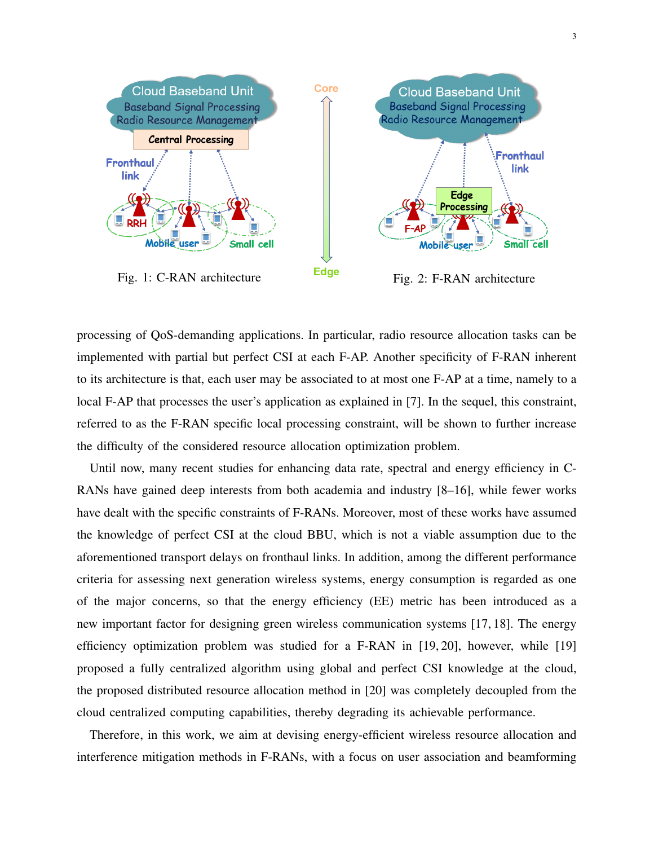

processing of QoS-demanding applications. In particular, radio resource allocation tasks can be implemented with partial but perfect CSI at each F-AP. Another specificity of F-RAN inherent to its architecture is that, each user may be associated to at most one F-AP at a time, namely to a local F-AP that processes the user's application as explained in [7]. In the sequel, this constraint, referred to as the F-RAN specific local processing constraint, will be shown to further increase the difficulty of the considered resource allocation optimization problem.

Until now, many recent studies for enhancing data rate, spectral and energy efficiency in C-RANs have gained deep interests from both academia and industry [8–16], while fewer works have dealt with the specific constraints of F-RANs. Moreover, most of these works have assumed the knowledge of perfect CSI at the cloud BBU, which is not a viable assumption due to the aforementioned transport delays on fronthaul links. In addition, among the different performance criteria for assessing next generation wireless systems, energy consumption is regarded as one of the major concerns, so that the energy efficiency (EE) metric has been introduced as a new important factor for designing green wireless communication systems [17, 18]. The energy efficiency optimization problem was studied for a F-RAN in [19, 20], however, while [19] proposed a fully centralized algorithm using global and perfect CSI knowledge at the cloud, the proposed distributed resource allocation method in [20] was completely decoupled from the cloud centralized computing capabilities, thereby degrading its achievable performance.

Therefore, in this work, we aim at devising energy-efficient wireless resource allocation and interference mitigation methods in F-RANs, with a focus on user association and beamforming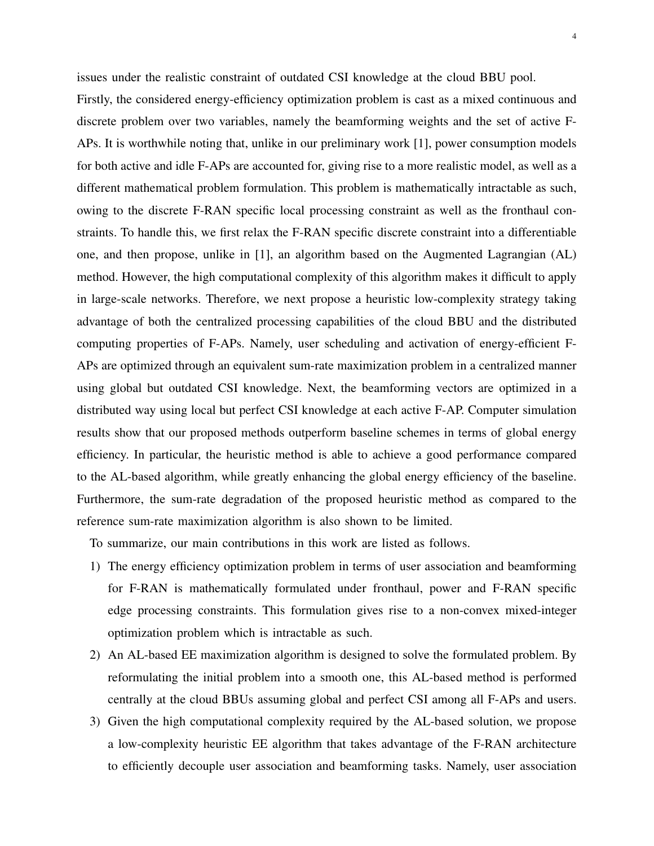issues under the realistic constraint of outdated CSI knowledge at the cloud BBU pool.

Firstly, the considered energy-efficiency optimization problem is cast as a mixed continuous and discrete problem over two variables, namely the beamforming weights and the set of active F-APs. It is worthwhile noting that, unlike in our preliminary work [1], power consumption models for both active and idle F-APs are accounted for, giving rise to a more realistic model, as well as a different mathematical problem formulation. This problem is mathematically intractable as such, owing to the discrete F-RAN specific local processing constraint as well as the fronthaul constraints. To handle this, we first relax the F-RAN specific discrete constraint into a differentiable one, and then propose, unlike in [1], an algorithm based on the Augmented Lagrangian (AL) method. However, the high computational complexity of this algorithm makes it difficult to apply in large-scale networks. Therefore, we next propose a heuristic low-complexity strategy taking advantage of both the centralized processing capabilities of the cloud BBU and the distributed computing properties of F-APs. Namely, user scheduling and activation of energy-efficient F-APs are optimized through an equivalent sum-rate maximization problem in a centralized manner using global but outdated CSI knowledge. Next, the beamforming vectors are optimized in a distributed way using local but perfect CSI knowledge at each active F-AP. Computer simulation results show that our proposed methods outperform baseline schemes in terms of global energy efficiency. In particular, the heuristic method is able to achieve a good performance compared to the AL-based algorithm, while greatly enhancing the global energy efficiency of the baseline. Furthermore, the sum-rate degradation of the proposed heuristic method as compared to the reference sum-rate maximization algorithm is also shown to be limited.

To summarize, our main contributions in this work are listed as follows.

- 1) The energy efficiency optimization problem in terms of user association and beamforming for F-RAN is mathematically formulated under fronthaul, power and F-RAN specific edge processing constraints. This formulation gives rise to a non-convex mixed-integer optimization problem which is intractable as such.
- 2) An AL-based EE maximization algorithm is designed to solve the formulated problem. By reformulating the initial problem into a smooth one, this AL-based method is performed centrally at the cloud BBUs assuming global and perfect CSI among all F-APs and users.
- 3) Given the high computational complexity required by the AL-based solution, we propose a low-complexity heuristic EE algorithm that takes advantage of the F-RAN architecture to efficiently decouple user association and beamforming tasks. Namely, user association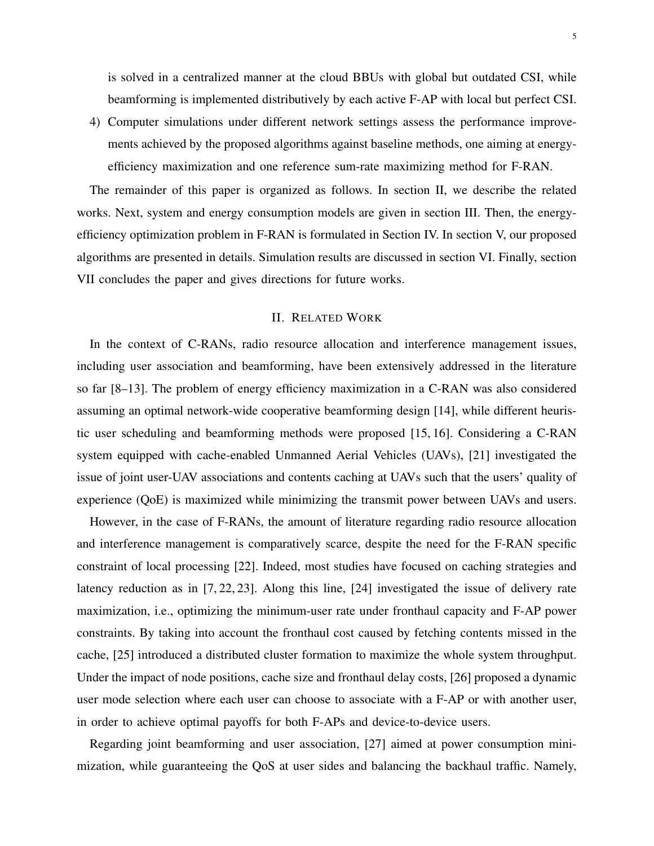is solved in a centralized manner at the cloud BBUs with global but outdated CSI, while beamforming is implemented distributively by each active F-AP with local but perfect CSI.

4) Computer simulations under different network settings assess the performance improvements achieved by the proposed algorithms against baseline methods, one aiming at energyefficiency maximization and one reference sum-rate maximizing method for F-RAN.

The remainder of this paper is organized as follows. In section II, we describe the related works. Next, system and energy consumption models are given in section III. Then, the energyefficiency optimization problem in F-RAN is formulated in Section IV. In section V, our proposed algorithms are presented in details. Simulation results are discussed in section VI. Finally, section VII concludes the paper and gives directions for future works.

## II. RELATED WORK

In the context of C-RANs, radio resource allocation and interference management issues, including user association and beamforming, have been extensively addressed in the literature so far [8–13]. The problem of energy efficiency maximization in a C-RAN was also considered assuming an optimal network-wide cooperative beamforming design [14], while different heuristic user scheduling and beamforming methods were proposed [15, 16]. Considering a C-RAN system equipped with cache-enabled Unmanned Aerial Vehicles (UAVs), [21] investigated the issue of joint user-UAV associations and contents caching at UAVs such that the users' quality of experience (QoE) is maximized while minimizing the transmit power between UAVs and users.

However, in the case of F-RANs, the amount of literature regarding radio resource allocation and interference management is comparatively scarce, despite the need for the F-RAN specific constraint of local processing [22]. Indeed, most studies have focused on caching strategies and latency reduction as in [7, 22, 23]. Along this line, [24] investigated the issue of delivery rate maximization, i.e., optimizing the minimum-user rate under fronthaul capacity and F-AP power constraints. By taking into account the fronthaul cost caused by fetching contents missed in the cache, [25] introduced a distributed cluster formation to maximize the whole system throughput. Under the impact of node positions, cache size and fronthaul delay costs, [26] proposed a dynamic user mode selection where each user can choose to associate with a F-AP or with another user, in order to achieve optimal payoffs for both F-APs and device-to-device users.

Regarding joint beamforming and user association, [27] aimed at power consumption minimization, while guaranteeing the QoS at user sides and balancing the backhaul traffic. Namely,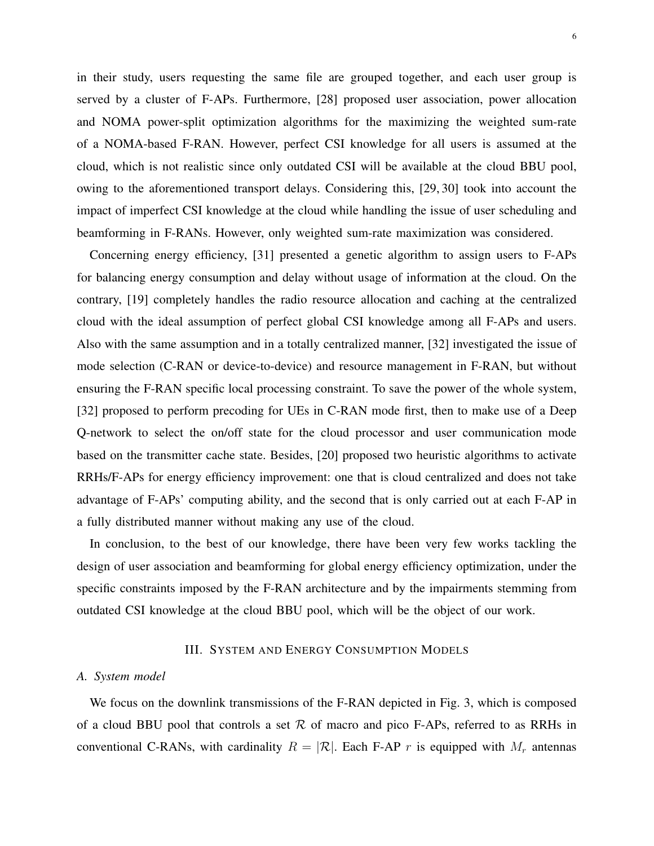in their study, users requesting the same file are grouped together, and each user group is served by a cluster of F-APs. Furthermore, [28] proposed user association, power allocation and NOMA power-split optimization algorithms for the maximizing the weighted sum-rate of a NOMA-based F-RAN. However, perfect CSI knowledge for all users is assumed at the cloud, which is not realistic since only outdated CSI will be available at the cloud BBU pool, owing to the aforementioned transport delays. Considering this, [29, 30] took into account the impact of imperfect CSI knowledge at the cloud while handling the issue of user scheduling and beamforming in F-RANs. However, only weighted sum-rate maximization was considered.

Concerning energy efficiency, [31] presented a genetic algorithm to assign users to F-APs for balancing energy consumption and delay without usage of information at the cloud. On the contrary, [19] completely handles the radio resource allocation and caching at the centralized cloud with the ideal assumption of perfect global CSI knowledge among all F-APs and users. Also with the same assumption and in a totally centralized manner, [32] investigated the issue of mode selection (C-RAN or device-to-device) and resource management in F-RAN, but without ensuring the F-RAN specific local processing constraint. To save the power of the whole system, [32] proposed to perform precoding for UEs in C-RAN mode first, then to make use of a Deep Q-network to select the on/off state for the cloud processor and user communication mode based on the transmitter cache state. Besides, [20] proposed two heuristic algorithms to activate RRHs/F-APs for energy efficiency improvement: one that is cloud centralized and does not take advantage of F-APs' computing ability, and the second that is only carried out at each F-AP in a fully distributed manner without making any use of the cloud.

In conclusion, to the best of our knowledge, there have been very few works tackling the design of user association and beamforming for global energy efficiency optimization, under the specific constraints imposed by the F-RAN architecture and by the impairments stemming from outdated CSI knowledge at the cloud BBU pool, which will be the object of our work.

## III. SYSTEM AND ENERGY CONSUMPTION MODELS

## *A. System model*

We focus on the downlink transmissions of the F-RAN depicted in Fig. 3, which is composed of a cloud BBU pool that controls a set  $R$  of macro and pico F-APs, referred to as RRHs in conventional C-RANs, with cardinality  $R = |\mathcal{R}|$ . Each F-AP r is equipped with  $M_r$  antennas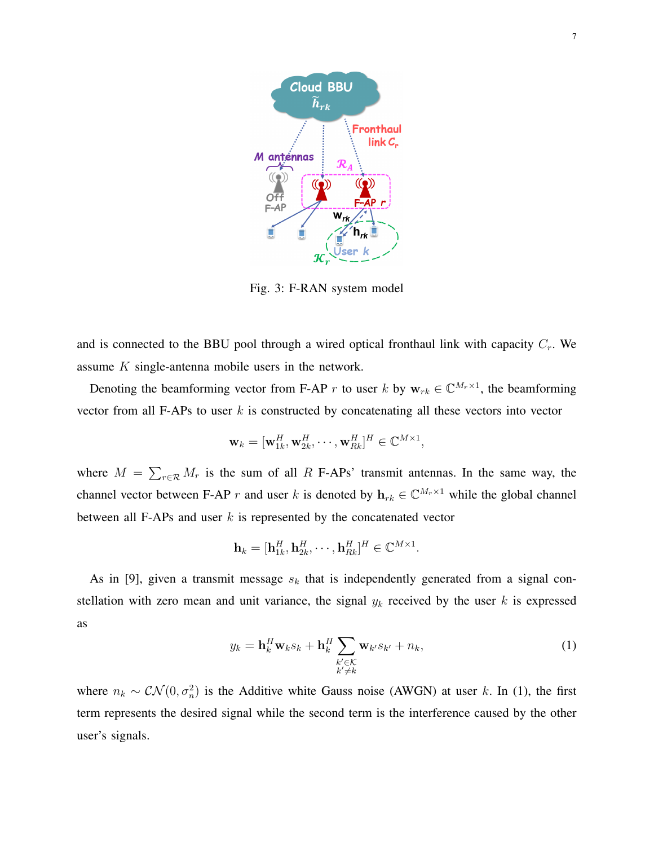

Fig. 3: F-RAN system model

and is connected to the BBU pool through a wired optical fronthaul link with capacity  $C_r$ . We assume K single-antenna mobile users in the network.

Denoting the beamforming vector from F-AP r to user k by  $w_{rk} \in \mathbb{C}^{M_r \times 1}$ , the beamforming vector from all F-APs to user  $k$  is constructed by concatenating all these vectors into vector

$$
\mathbf{w}_k = [\mathbf{w}_{1k}^H, \mathbf{w}_{2k}^H, \cdots, \mathbf{w}_{Rk}^H]^H \in \mathbb{C}^{M \times 1},
$$

where  $M = \sum_{r \in \mathcal{R}} M_r$  is the sum of all R F-APs' transmit antennas. In the same way, the channel vector between F-AP r and user k is denoted by  $\mathbf{h}_{rk} \in \mathbb{C}^{M_r \times 1}$  while the global channel between all F-APs and user  $k$  is represented by the concatenated vector

$$
\mathbf{h}_k = [\mathbf{h}_{1k}^H, \mathbf{h}_{2k}^H, \cdots, \mathbf{h}_{Rk}^H]^H \in \mathbb{C}^{M \times 1}.
$$

As in [9], given a transmit message  $s_k$  that is independently generated from a signal constellation with zero mean and unit variance, the signal  $y_k$  received by the user k is expressed as

$$
y_k = \mathbf{h}_k^H \mathbf{w}_k s_k + \mathbf{h}_k^H \sum_{\substack{k' \in \mathcal{K} \\ k' \neq k}} \mathbf{w}_{k'} s_{k'} + n_k,
$$
 (1)

where  $n_k \sim \mathcal{CN}(0, \sigma_n^2)$  is the Additive white Gauss noise (AWGN) at user k. In (1), the first term represents the desired signal while the second term is the interference caused by the other user's signals.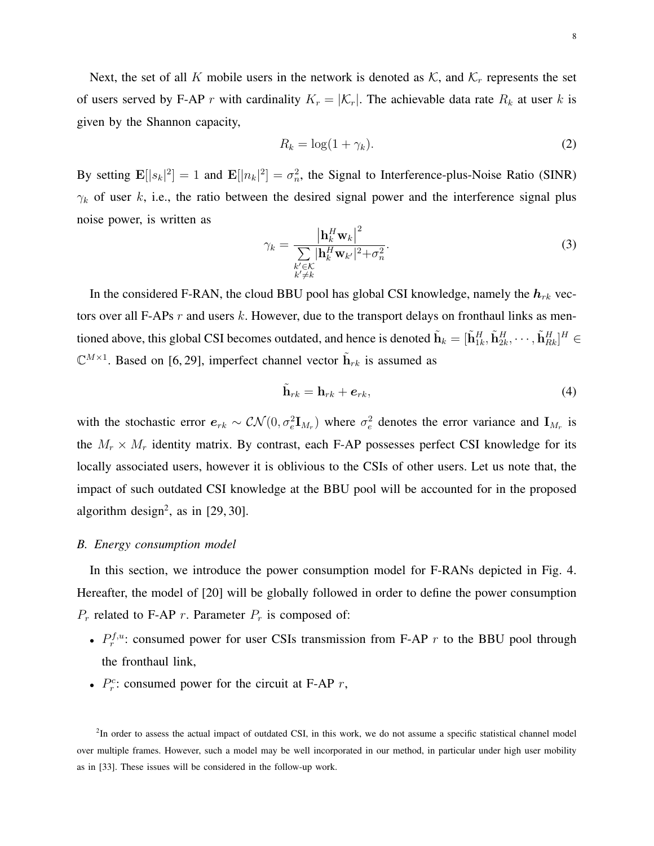Next, the set of all K mobile users in the network is denoted as  $K$ , and  $K_r$  represents the set of users served by F-AP r with cardinality  $K_r = |\mathcal{K}_r|$ . The achievable data rate  $R_k$  at user k is given by the Shannon capacity,

$$
R_k = \log(1 + \gamma_k). \tag{2}
$$

By setting  $\mathbf{E}[|s_k|^2] = 1$  and  $\mathbf{E}[|n_k|^2] = \sigma_n^2$ , the Signal to Interference-plus-Noise Ratio (SINR)  $\gamma_k$  of user k, i.e., the ratio between the desired signal power and the interference signal plus noise power, is written as

$$
\gamma_k = \frac{\left|\mathbf{h}_k^H \mathbf{w}_k\right|^2}{\sum\limits_{\substack{k' \in \mathcal{K} \\ k' \neq k}} \left|\mathbf{h}_k^H \mathbf{w}_{k'}\right|^2 + \sigma_n^2}.
$$
\n(3)

In the considered F-RAN, the cloud BBU pool has global CSI knowledge, namely the  $h_{rk}$  vectors over all F-APs  $r$  and users  $k$ . However, due to the transport delays on fronthaul links as mentioned above, this global CSI becomes outdated, and hence is denoted  $\tilde{\bf h}_k=[\tilde{\bf h}_{1k}^H,\tilde{\bf h}_{2k}^H,\cdots,\tilde{\bf h}_{Rk}^H]^H\in$  $\mathbb{C}^{M\times 1}$ . Based on [6, 29], imperfect channel vector  $\tilde{\mathbf{h}}_{rk}$  is assumed as

$$
\tilde{\mathbf{h}}_{rk} = \mathbf{h}_{rk} + \boldsymbol{e}_{rk},\tag{4}
$$

with the stochastic error  $e_{rk} \sim \mathcal{CN}(0, \sigma_e^2 \mathbf{I}_{M_r})$  where  $\sigma_e^2$  denotes the error variance and  $\mathbf{I}_{M_r}$  is the  $M_r \times M_r$  identity matrix. By contrast, each F-AP possesses perfect CSI knowledge for its locally associated users, however it is oblivious to the CSIs of other users. Let us note that, the impact of such outdated CSI knowledge at the BBU pool will be accounted for in the proposed algorithm design<sup>2</sup>, as in  $[29, 30]$ .

## *B. Energy consumption model*

In this section, we introduce the power consumption model for F-RANs depicted in Fig. 4. Hereafter, the model of [20] will be globally followed in order to define the power consumption  $P_r$  related to F-AP r. Parameter  $P_r$  is composed of:

- $P_r^{f,u}$ : consumed power for user CSIs transmission from F-AP r to the BBU pool through the fronthaul link,
- $P_r^c$ : consumed power for the circuit at F-AP r,

<sup>2</sup>In order to assess the actual impact of outdated CSI, in this work, we do not assume a specific statistical channel model over multiple frames. However, such a model may be well incorporated in our method, in particular under high user mobility as in [33]. These issues will be considered in the follow-up work.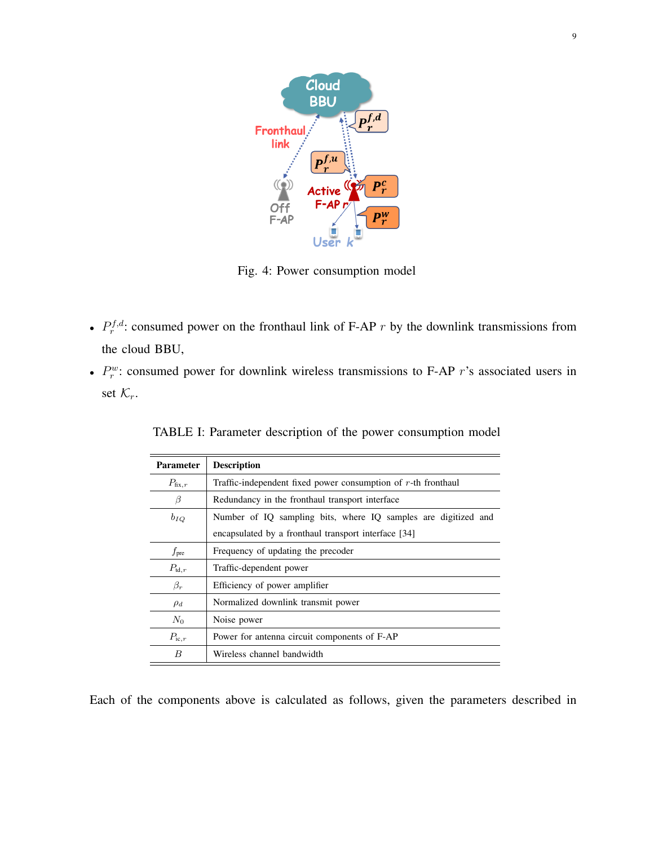

Fig. 4: Power consumption model

- $P_r^{f,d}$ : consumed power on the fronthaul link of F-AP r by the downlink transmissions from the cloud BBU,
- $P_r^w$ : consumed power for downlink wireless transmissions to F-AP r's associated users in set  $\mathcal{K}_r$ .

| <b>Parameter</b>   | <b>Description</b>                                               |  |  |
|--------------------|------------------------------------------------------------------|--|--|
| $P_{\text{fix},r}$ | Traffic-independent fixed power consumption of $r$ -th fronthaul |  |  |
| B                  | Redundancy in the fronthaul transport interface                  |  |  |
| $b_{IQ}$           | Number of IQ sampling bits, where IQ samples are digitized and   |  |  |
|                    | encapsulated by a fronthaul transport interface [34]             |  |  |
| $f_{\rm pre}$      | Frequency of updating the precoder                               |  |  |
| $P_{td,r}$         | Traffic-dependent power                                          |  |  |
| $\beta_r$          | Efficiency of power amplifier                                    |  |  |
| $\rho_d$           | Normalized downlink transmit power                               |  |  |
| $N_0$              | Noise power                                                      |  |  |
| $P_{\text{ic},r}$  | Power for antenna circuit components of F-AP                     |  |  |
| B                  | Wireless channel bandwidth                                       |  |  |

TABLE I: Parameter description of the power consumption model

Each of the components above is calculated as follows, given the parameters described in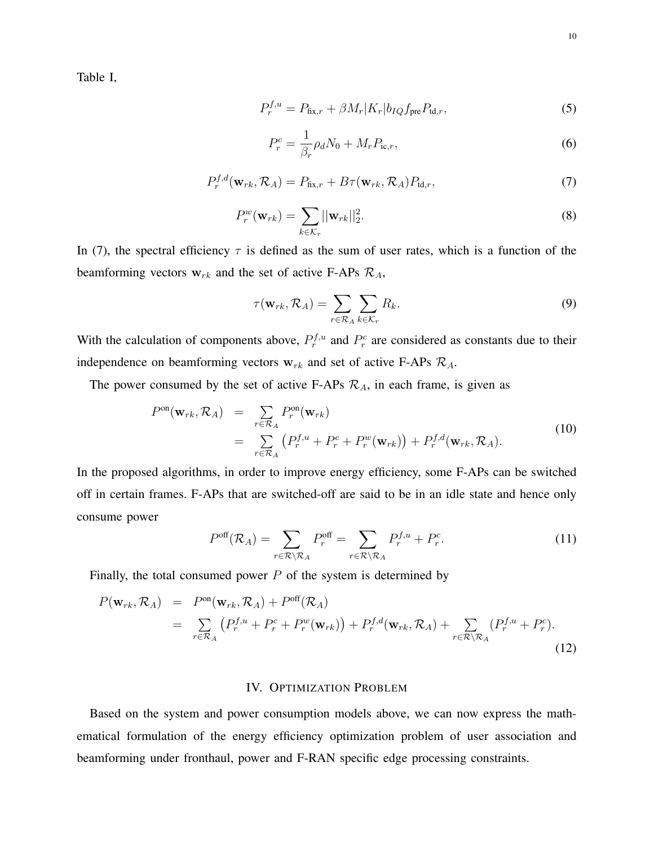Table I,

$$
P_r^{f,u} = P_{\text{fix},r} + \beta M_r |K_r| b_{IQ} f_{\text{pre}} P_{\text{td},r},\tag{5}
$$

$$
P_r^c = \frac{1}{\beta_r} \rho_d N_0 + M_r P_{\text{ic},r},\tag{6}
$$

$$
P_r^{f,d}(\mathbf{w}_{rk}, \mathcal{R}_A) = P_{\text{fix},r} + B\tau(\mathbf{w}_{rk}, \mathcal{R}_A) P_{\text{td},r},\tag{7}
$$

$$
P_r^w(\mathbf{w}_{rk}) = \sum_{k \in \mathcal{K}_r} ||\mathbf{w}_{rk}||_2^2.
$$
 (8)

In (7), the spectral efficiency  $\tau$  is defined as the sum of user rates, which is a function of the beamforming vectors  $w_{rk}$  and the set of active F-APs  $\mathcal{R}_A$ ,

$$
\tau(\mathbf{w}_{rk}, \mathcal{R}_A) = \sum_{r \in \mathcal{R}_A} \sum_{k \in \mathcal{K}_r} R_k.
$$
\n(9)

With the calculation of components above,  $P_r^{f,u}$  and  $P_r^c$  are considered as constants due to their independence on beamforming vectors  $w_{rk}$  and set of active F-APs  $\mathcal{R}_A$ .

The power consumed by the set of active F-APs  $\mathcal{R}_A$ , in each frame, is given as

$$
Pon(\mathbf{w}_{rk}, \mathcal{R}_A) = \sum_{r \in \mathcal{R}_A} P_r^{on}(\mathbf{w}_{rk})
$$
  
= 
$$
\sum_{r \in \mathcal{R}_A} \left( P_r^{f,u} + P_r^c + P_r^w(\mathbf{w}_{rk}) \right) + P_r^{f,d}(\mathbf{w}_{rk}, \mathcal{R}_A).
$$
 (10)

In the proposed algorithms, in order to improve energy efficiency, some F-APs can be switched off in certain frames. F-APs that are switched-off are said to be in an idle state and hence only consume power

$$
P^{\text{off}}(\mathcal{R}_A) = \sum_{r \in \mathcal{R} \setminus \mathcal{R}_A} P_r^{\text{off}} = \sum_{r \in \mathcal{R} \setminus \mathcal{R}_A} P_r^{f,u} + P_r^c.
$$
 (11)

Finally, the total consumed power  $P$  of the system is determined by

$$
P(\mathbf{w}_{rk}, \mathcal{R}_A) = P^{\text{on}}(\mathbf{w}_{rk}, \mathcal{R}_A) + P^{\text{off}}(\mathcal{R}_A)
$$
  

$$
= \sum_{r \in \mathcal{R}_A} (P_r^{f,u} + P_r^c + P_r^w(\mathbf{w}_{rk})) + P_r^{f,d}(\mathbf{w}_{rk}, \mathcal{R}_A) + \sum_{r \in \mathcal{R} \setminus \mathcal{R}_A} (P_r^{f,u} + P_r^c).
$$
(12)

## IV. OPTIMIZATION PROBLEM

Based on the system and power consumption models above, we can now express the mathematical formulation of the energy efficiency optimization problem of user association and beamforming under fronthaul, power and F-RAN specific edge processing constraints.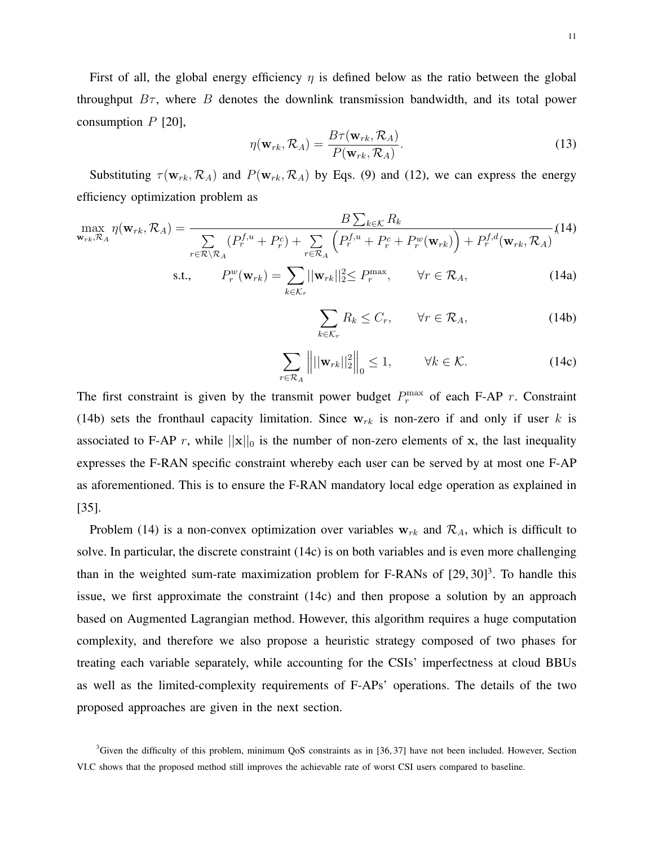First of all, the global energy efficiency  $\eta$  is defined below as the ratio between the global throughput  $B_{\tau}$ , where B denotes the downlink transmission bandwidth, and its total power consumption  $P$  [20],

$$
\eta(\mathbf{w}_{rk}, \mathcal{R}_A) = \frac{B\tau(\mathbf{w}_{rk}, \mathcal{R}_A)}{P(\mathbf{w}_{rk}, \mathcal{R}_A)}.
$$
\n(13)

Substituting  $\tau(\mathbf{w}_{rk}, \mathcal{R}_A)$  and  $P(\mathbf{w}_{rk}, \mathcal{R}_A)$  by Eqs. (9) and (12), we can express the energy efficiency optimization problem as

$$
\max_{\mathbf{w}_{rk}, \mathcal{R}_A} \eta(\mathbf{w}_{rk}, \mathcal{R}_A) = \frac{B \sum_{k \in \mathcal{K}} R_k}{\sum_{r \in \mathcal{R} \setminus \mathcal{R}_A} (P_r^{f,u} + P_r^c) + \sum_{r \in \mathcal{R}_A} \left( P_r^{f,u} + P_r^c + P_r^w(\mathbf{w}_{rk}) \right) + P_r^{f,d}(\mathbf{w}_{rk}, \mathcal{R}_A)} (14)
$$

s.t., 
$$
P_r^w(\mathbf{w}_{rk}) = \sum_{k \in \mathcal{K}_r} ||\mathbf{w}_{rk}||_2^2 \le P_r^{\max}, \qquad \forall r \in \mathcal{R}_A,
$$
 (14a)

$$
\sum_{k \in \mathcal{K}_r} R_k \le C_r, \qquad \forall r \in \mathcal{R}_A,\tag{14b}
$$

$$
\sum_{r \in \mathcal{R}_A} \left\| ||\mathbf{w}_{rk}||_2^2 \right\|_0 \le 1, \qquad \forall k \in \mathcal{K}.
$$
 (14c)

The first constraint is given by the transmit power budget  $P_r^{\max}$  of each F-AP r. Constraint (14b) sets the fronthaul capacity limitation. Since  $w_{rk}$  is non-zero if and only if user k is associated to F-AP r, while  $||\mathbf{x}||_0$  is the number of non-zero elements of x, the last inequality expresses the F-RAN specific constraint whereby each user can be served by at most one F-AP as aforementioned. This is to ensure the F-RAN mandatory local edge operation as explained in [35].

Problem (14) is a non-convex optimization over variables  $w_{rk}$  and  $\mathcal{R}_A$ , which is difficult to solve. In particular, the discrete constraint (14c) is on both variables and is even more challenging than in the weighted sum-rate maximization problem for F-RANs of  $[29, 30]^3$ . To handle this issue, we first approximate the constraint (14c) and then propose a solution by an approach based on Augmented Lagrangian method. However, this algorithm requires a huge computation complexity, and therefore we also propose a heuristic strategy composed of two phases for treating each variable separately, while accounting for the CSIs' imperfectness at cloud BBUs as well as the limited-complexity requirements of F-APs' operations. The details of the two proposed approaches are given in the next section.

 $3$ Given the difficulty of this problem, minimum QoS constraints as in [36, 37] have not been included. However, Section VI.C shows that the proposed method still improves the achievable rate of worst CSI users compared to baseline.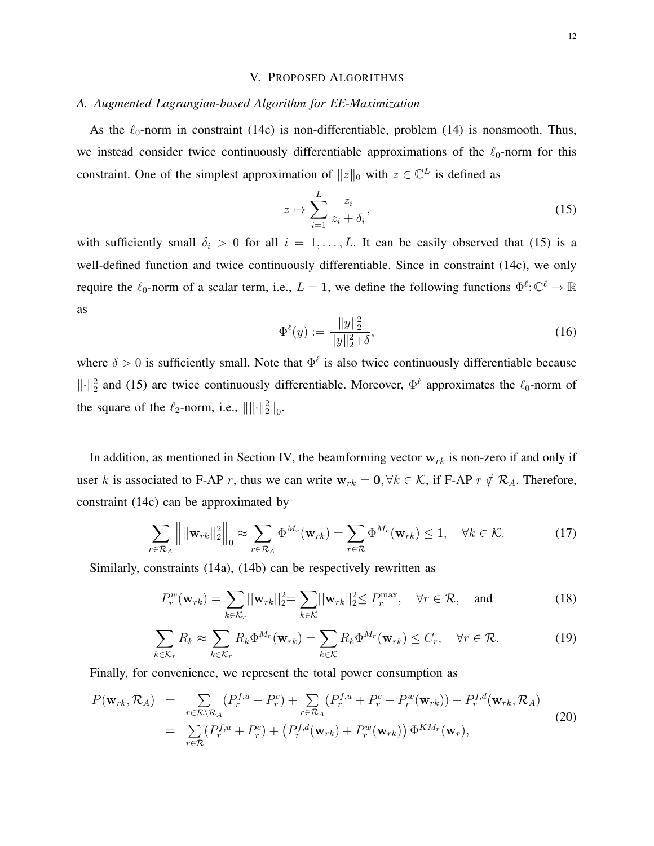## V. PROPOSED ALGORITHMS

## *A. Augmented Lagrangian-based Algorithm for EE-Maximization*

As the  $\ell_0$ -norm in constraint (14c) is non-differentiable, problem (14) is nonsmooth. Thus, we instead consider twice continuously differentiable approximations of the  $\ell_0$ -norm for this constraint. One of the simplest approximation of  $||z||_0$  with  $z \in \mathbb{C}^L$  is defined as

$$
z \mapsto \sum_{i=1}^{L} \frac{z_i}{z_i + \delta_i},\tag{15}
$$

with sufficiently small  $\delta_i > 0$  for all  $i = 1, \ldots, L$ . It can be easily observed that (15) is a well-defined function and twice continuously differentiable. Since in constraint (14c), we only require the  $\ell_0$ -norm of a scalar term, i.e.,  $L = 1$ , we define the following functions  $\Phi^{\ell} : \mathbb{C}^{\ell} \to \mathbb{R}$ as

$$
\Phi^{\ell}(y) := \frac{\|y\|_2^2}{\|y\|_2^2 + \delta},\tag{16}
$$

where  $\delta > 0$  is sufficiently small. Note that  $\Phi^{\ell}$  is also twice continuously differentiable because  $\|\cdot\|_2^2$  and (15) are twice continuously differentiable. Moreover,  $\Phi^{\ell}$  approximates the  $\ell_0$ -norm of the square of the  $\ell_2$ -norm, i.e.,  $\|\|\cdot\|_2^2\|_0$ .

In addition, as mentioned in Section IV, the beamforming vector  $w_{rk}$  is non-zero if and only if user k is associated to F-AP r, thus we can write  $w_{rk} = 0, \forall k \in K$ , if F-AP  $r \notin \mathcal{R}_A$ . Therefore, constraint (14c) can be approximated by

$$
\sum_{r \in \mathcal{R}_A} || ||\mathbf{w}_{rk}||_2^2 ||_0 \approx \sum_{r \in \mathcal{R}_A} \Phi^{M_r}(\mathbf{w}_{rk}) = \sum_{r \in \mathcal{R}} \Phi^{M_r}(\mathbf{w}_{rk}) \le 1, \quad \forall k \in \mathcal{K}.
$$
 (17)

Similarly, constraints (14a), (14b) can be respectively rewritten as

$$
P_r^w(\mathbf{w}_{rk}) = \sum_{k \in \mathcal{K}_r} ||\mathbf{w}_{rk}||_2^2 = \sum_{k \in \mathcal{K}} ||\mathbf{w}_{rk}||_2^2 \le P_r^{\max}, \quad \forall r \in \mathcal{R}, \text{ and } (18)
$$

$$
\sum_{k \in \mathcal{K}_r} R_k \approx \sum_{k \in \mathcal{K}_r} R_k \Phi^{M_r}(\mathbf{w}_{rk}) = \sum_{k \in \mathcal{K}} R_k \Phi^{M_r}(\mathbf{w}_{rk}) \le C_r, \quad \forall r \in \mathcal{R}.
$$
 (19)

Finally, for convenience, we represent the total power consumption as

$$
P(\mathbf{w}_{rk}, \mathcal{R}_A) = \sum_{r \in \mathcal{R} \setminus \mathcal{R}_A} (P_r^{f, u} + P_r^c) + \sum_{r \in \mathcal{R}_A} (P_r^{f, u} + P_r^c + P_r^w(\mathbf{w}_{rk})) + P_r^{f, d}(\mathbf{w}_{rk}, \mathcal{R}_A)
$$
  

$$
= \sum_{r \in \mathcal{R}} (P_r^{f, u} + P_r^c) + (P_r^{f, d}(\mathbf{w}_{rk}) + P_r^w(\mathbf{w}_{rk})) \Phi^{KM_r}(\mathbf{w}_r),
$$
(20)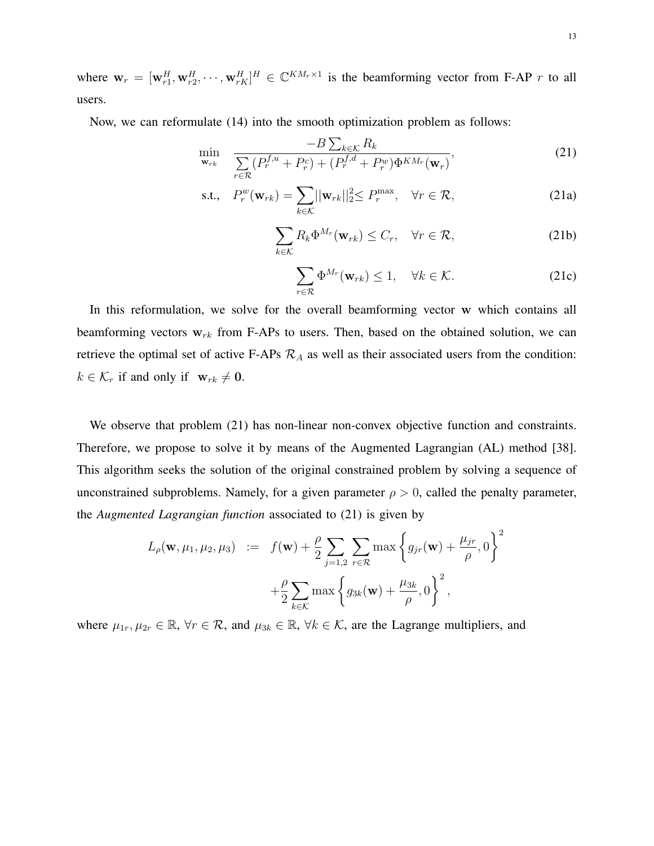where  $\mathbf{w}_r = [\mathbf{w}_{r1}^H, \mathbf{w}_{r2}^H, \cdots, \mathbf{w}_{rK}^H]^H \in \mathbb{C}^{KM_r \times 1}$  is the beamforming vector from F-AP r to all users.

Now, we can reformulate (14) into the smooth optimization problem as follows:

$$
\min_{\mathbf{w}_{rk}} \quad \frac{-B \sum_{k \in \mathcal{K}} R_k}{\sum_{r \in \mathcal{R}} (P_r^{f,u} + P_r^c) + (P_r^{f,d} + P_r^w) \Phi^{KM_r}(\mathbf{w}_r)},\tag{21}
$$

s.t., 
$$
P_r^w(\mathbf{w}_{rk}) = \sum_{k \in \mathcal{K}} ||\mathbf{w}_{rk}||_2^2 \le P_r^{\max}, \quad \forall r \in \mathcal{R},
$$
 (21a)

$$
\sum_{k \in \mathcal{K}} R_k \Phi^{M_r}(\mathbf{w}_{rk}) \le C_r, \quad \forall r \in \mathcal{R}, \tag{21b}
$$

$$
\sum_{r \in \mathcal{R}} \Phi^{M_r}(\mathbf{w}_{rk}) \le 1, \quad \forall k \in \mathcal{K}.
$$
 (21c)

In this reformulation, we solve for the overall beamforming vector w which contains all beamforming vectors  $w_{rk}$  from F-APs to users. Then, based on the obtained solution, we can retrieve the optimal set of active F-APs  $\mathcal{R}_A$  as well as their associated users from the condition:  $k \in \mathcal{K}_r$  if and only if  $\mathbf{w}_{rk} \neq \mathbf{0}$ .

We observe that problem (21) has non-linear non-convex objective function and constraints. Therefore, we propose to solve it by means of the Augmented Lagrangian (AL) method [38]. This algorithm seeks the solution of the original constrained problem by solving a sequence of unconstrained subproblems. Namely, for a given parameter  $\rho > 0$ , called the penalty parameter, the *Augmented Lagrangian function* associated to (21) is given by

$$
L_{\rho}(\mathbf{w}, \mu_1, \mu_2, \mu_3) := f(\mathbf{w}) + \frac{\rho}{2} \sum_{j=1,2} \sum_{r \in \mathcal{R}} \max \left\{ g_{jr}(\mathbf{w}) + \frac{\mu_{jr}}{\rho}, 0 \right\}^2
$$

$$
+ \frac{\rho}{2} \sum_{k \in \mathcal{K}} \max \left\{ g_{3k}(\mathbf{w}) + \frac{\mu_{3k}}{\rho}, 0 \right\}^2,
$$

where  $\mu_{1r}, \mu_{2r} \in \mathbb{R}, \forall r \in \mathcal{R}, \text{ and } \mu_{3k} \in \mathbb{R}, \forall k \in \mathcal{K}, \text{ are the Lagrange multipliers, and}$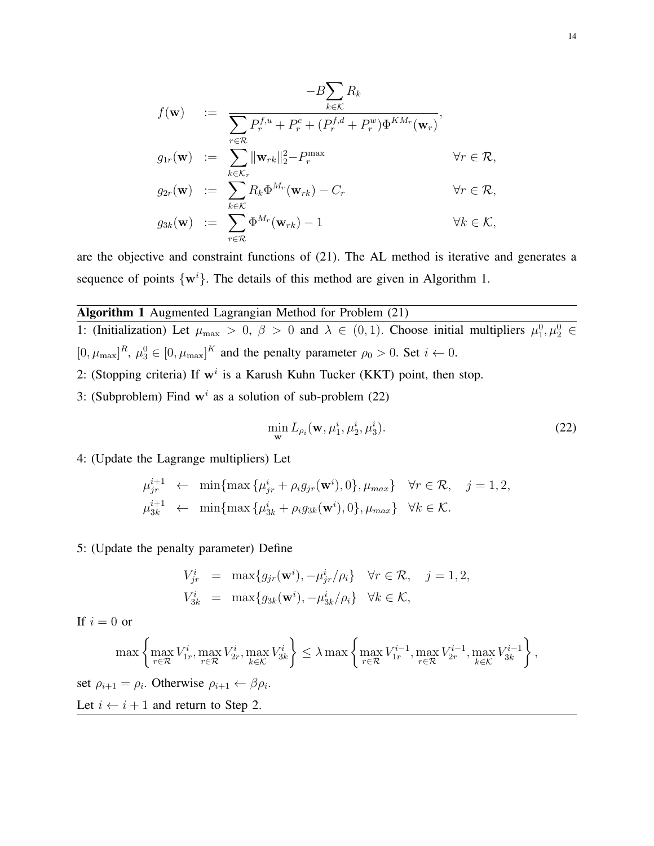$$
f(\mathbf{w}) := -B \sum_{k \in \mathcal{K}} R_k
$$
  
\n
$$
f(\mathbf{w}) := \sum_{r \in \mathcal{R}} P_r^{f,u} + P_r^c + (P_r^{f,d} + P_r^w) \Phi^{KM_r}(\mathbf{w}_r),
$$
  
\n
$$
g_{1r}(\mathbf{w}) := \sum_{k \in \mathcal{K}_r} ||\mathbf{w}_{rk}||_2^2 - P_r^{\max} \qquad \forall r \in \mathcal{R},
$$
  
\n
$$
g_{2r}(\mathbf{w}) := \sum_{k \in \mathcal{K}} R_k \Phi^{M_r}(\mathbf{w}_{rk}) - C_r \qquad \forall r \in \mathcal{R},
$$
  
\n
$$
g_{3k}(\mathbf{w}) := \sum_{r \in \mathcal{R}} \Phi^{M_r}(\mathbf{w}_{rk}) - 1 \qquad \forall k \in \mathcal{K},
$$

are the objective and constraint functions of (21). The AL method is iterative and generates a sequence of points  $\{w^i\}$ . The details of this method are given in Algorithm 1.

# Algorithm 1 Augmented Lagrangian Method for Problem (21)

1: (Initialization) Let  $\mu_{\max} > 0$ ,  $\beta > 0$  and  $\lambda \in (0,1)$ . Choose initial multipliers  $\mu_1^0, \mu_2^0 \in$  $[0, \mu_{\text{max}}]^R$ ,  $\mu_3^0 \in [0, \mu_{\text{max}}]^K$  and the penalty parameter  $\rho_0 > 0$ . Set  $i \leftarrow 0$ . 2: (Stopping criteria) If  $w^i$  is a Karush Kuhn Tucker (KKT) point, then stop.

3: (Subproblem) Find  $w<sup>i</sup>$  as a solution of sub-problem (22)

$$
\min_{\mathbf{w}} L_{\rho_i}(\mathbf{w}, \mu_1^i, \mu_2^i, \mu_3^i).
$$
 (22)

4: (Update the Lagrange multipliers) Let

$$
\mu_{jr}^{i+1} \leftarrow \min\{\max\{\mu_{jr}^i + \rho_i g_{jr}(\mathbf{w}^i), 0\}, \mu_{max}\} \quad \forall r \in \mathcal{R}, \quad j = 1, 2,
$$
  

$$
\mu_{3k}^{i+1} \leftarrow \min\{\max\{\mu_{3k}^i + \rho_i g_{3k}(\mathbf{w}^i), 0\}, \mu_{max}\} \quad \forall k \in \mathcal{K}.
$$

## 5: (Update the penalty parameter) Define

$$
V_{jr}^i = \max\{g_{jr}(\mathbf{w}^i), -\mu_{jr}^i/\rho_i\} \quad \forall r \in \mathcal{R}, \quad j = 1, 2,
$$
  

$$
V_{3k}^i = \max\{g_{3k}(\mathbf{w}^i), -\mu_{3k}^i/\rho_i\} \quad \forall k \in \mathcal{K},
$$

If  $i = 0$  or

$$
\max\left\{\max_{r\in\mathcal{R}}V_{1r}^i,\max_{r\in\mathcal{R}}V_{2r}^i,\max_{k\in\mathcal{K}}V_{3k}^i\right\} \leq \lambda \max\left\{\max_{r\in\mathcal{R}}V_{1r}^{i-1},\max_{r\in\mathcal{R}}V_{2r}^{i-1},\max_{k\in\mathcal{K}}V_{3k}^{i-1}\right\},\
$$
  
set  $\rho_{i+1} = \rho_i$ . Otherwise  $\rho_{i+1} \leftarrow \beta \rho_i$ .  
Let  $i \leftarrow i+1$  and return to Step 2.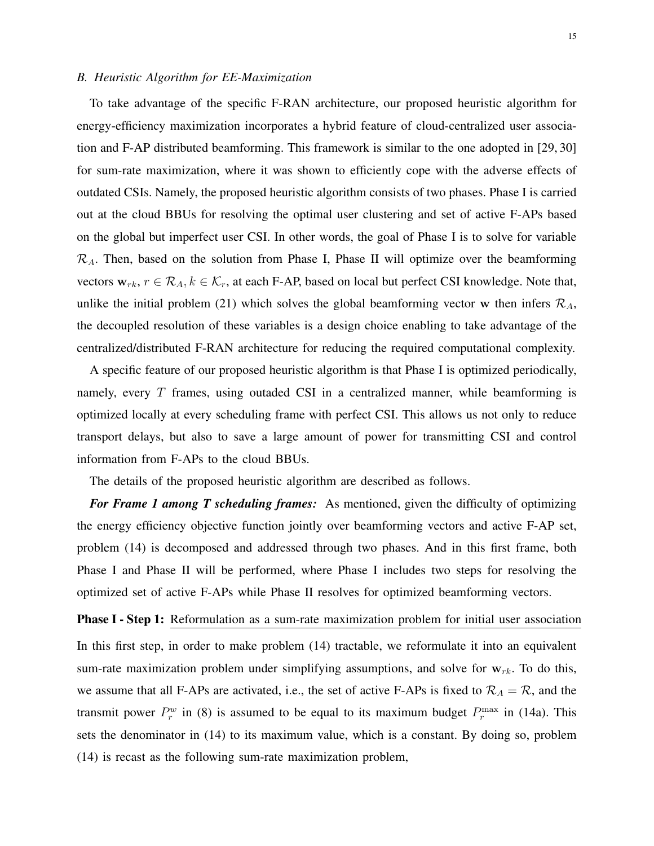## *B. Heuristic Algorithm for EE-Maximization*

To take advantage of the specific F-RAN architecture, our proposed heuristic algorithm for energy-efficiency maximization incorporates a hybrid feature of cloud-centralized user association and F-AP distributed beamforming. This framework is similar to the one adopted in [29, 30] for sum-rate maximization, where it was shown to efficiently cope with the adverse effects of outdated CSIs. Namely, the proposed heuristic algorithm consists of two phases. Phase I is carried out at the cloud BBUs for resolving the optimal user clustering and set of active F-APs based on the global but imperfect user CSI. In other words, the goal of Phase I is to solve for variable  $\mathcal{R}_A$ . Then, based on the solution from Phase I, Phase II will optimize over the beamforming vectors  $w_{rk}$ ,  $r \in \mathcal{R}_A$ ,  $k \in \mathcal{K}_r$ , at each F-AP, based on local but perfect CSI knowledge. Note that, unlike the initial problem (21) which solves the global beamforming vector w then infers  $\mathcal{R}_A$ , the decoupled resolution of these variables is a design choice enabling to take advantage of the centralized/distributed F-RAN architecture for reducing the required computational complexity.

A specific feature of our proposed heuristic algorithm is that Phase I is optimized periodically, namely, every  $T$  frames, using outaded CSI in a centralized manner, while beamforming is optimized locally at every scheduling frame with perfect CSI. This allows us not only to reduce transport delays, but also to save a large amount of power for transmitting CSI and control information from F-APs to the cloud BBUs.

The details of the proposed heuristic algorithm are described as follows.

*For Frame 1 among T scheduling frames:* As mentioned, given the difficulty of optimizing the energy efficiency objective function jointly over beamforming vectors and active F-AP set, problem (14) is decomposed and addressed through two phases. And in this first frame, both Phase I and Phase II will be performed, where Phase I includes two steps for resolving the optimized set of active F-APs while Phase II resolves for optimized beamforming vectors.

**Phase I - Step 1:** Reformulation as a sum-rate maximization problem for initial user association In this first step, in order to make problem (14) tractable, we reformulate it into an equivalent sum-rate maximization problem under simplifying assumptions, and solve for  $w_{rk}$ . To do this, we assume that all F-APs are activated, i.e., the set of active F-APs is fixed to  $\mathcal{R}_A = \mathcal{R}$ , and the transmit power  $P_r^w$  in (8) is assumed to be equal to its maximum budget  $P_r^{\max}$  in (14a). This sets the denominator in (14) to its maximum value, which is a constant. By doing so, problem (14) is recast as the following sum-rate maximization problem,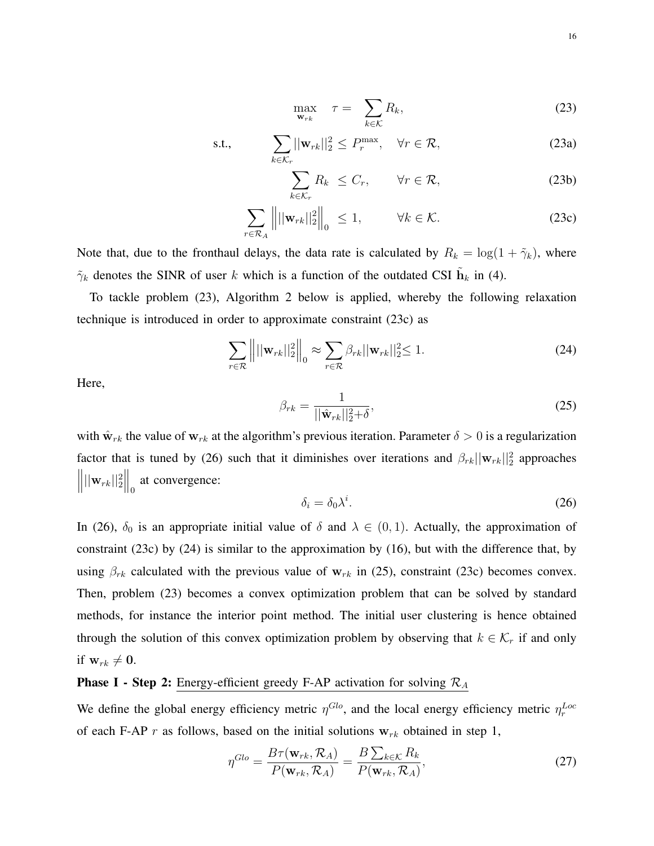$$
\max_{\mathbf{w}_{rk}} \quad \tau = \sum_{k \in \mathcal{K}} R_k,\tag{23}
$$

s.t., 
$$
\sum_{k \in \mathcal{K}_r} ||\mathbf{w}_{rk}||_2^2 \le P_r^{\max}, \quad \forall r \in \mathcal{R},
$$
 (23a)

$$
\sum_{k \in \mathcal{K}_r} R_k \leq C_r, \qquad \forall r \in \mathcal{R}, \tag{23b}
$$

$$
\sum_{r \in \mathcal{R}_A} |||\mathbf{w}_{rk}||_2^2||_0 \le 1, \qquad \forall k \in \mathcal{K}.
$$
 (23c)

Note that, due to the fronthaul delays, the data rate is calculated by  $R_k = \log(1 + \tilde{\gamma}_k)$ , where  $\tilde{\gamma}_k$  denotes the SINR of user k which is a function of the outdated CSI  $\tilde{\mathbf{h}}_k$  in (4).

To tackle problem (23), Algorithm 2 below is applied, whereby the following relaxation technique is introduced in order to approximate constraint (23c) as

$$
\sum_{r \in \mathcal{R}} \left\| ||\mathbf{w}_{rk}||_2^2 \right\|_0 \approx \sum_{r \in \mathcal{R}} \beta_{rk} ||\mathbf{w}_{rk}||_2^2 \le 1.
$$
\n(24)

Here,

$$
\beta_{rk} = \frac{1}{\vert\vert \hat{\mathbf{w}}_{rk} \vert\vert_2^2 + \delta},\tag{25}
$$

with  $\hat{\mathbf{w}}_{rk}$  the value of  $\mathbf{w}_{rk}$  at the algorithm's previous iteration. Parameter  $\delta > 0$  is a regularization factor that is tuned by (26) such that it diminishes over iterations and  $\beta_{rk} ||\mathbf{w}_{rk}||_2^2$  approaches  $\left\| ||\mathbf{w}_{rk}||_2^2 \right\|_0$  at convergence:

$$
\delta_i = \delta_0 \lambda^i. \tag{26}
$$

In (26),  $\delta_0$  is an appropriate initial value of  $\delta$  and  $\lambda \in (0,1)$ . Actually, the approximation of constraint (23c) by (24) is similar to the approximation by (16), but with the difference that, by using  $\beta_{rk}$  calculated with the previous value of w<sub>rk</sub> in (25), constraint (23c) becomes convex. Then, problem (23) becomes a convex optimization problem that can be solved by standard methods, for instance the interior point method. The initial user clustering is hence obtained through the solution of this convex optimization problem by observing that  $k \in \mathcal{K}_r$  if and only if  $\mathbf{w}_{rk} \neq \mathbf{0}$ .

# **Phase I - Step 2:** Energy-efficient greedy F-AP activation for solving  $\mathcal{R}_A$

We define the global energy efficiency metric  $\eta^{Glo}$ , and the local energy efficiency metric  $\eta_r^{Loc}$ of each F-AP r as follows, based on the initial solutions  $w_{rk}$  obtained in step 1,

$$
\eta^{Glo} = \frac{B\tau(\mathbf{w}_{rk}, \mathcal{R}_A)}{P(\mathbf{w}_{rk}, \mathcal{R}_A)} = \frac{B\sum_{k \in \mathcal{K}} R_k}{P(\mathbf{w}_{rk}, \mathcal{R}_A)},\tag{27}
$$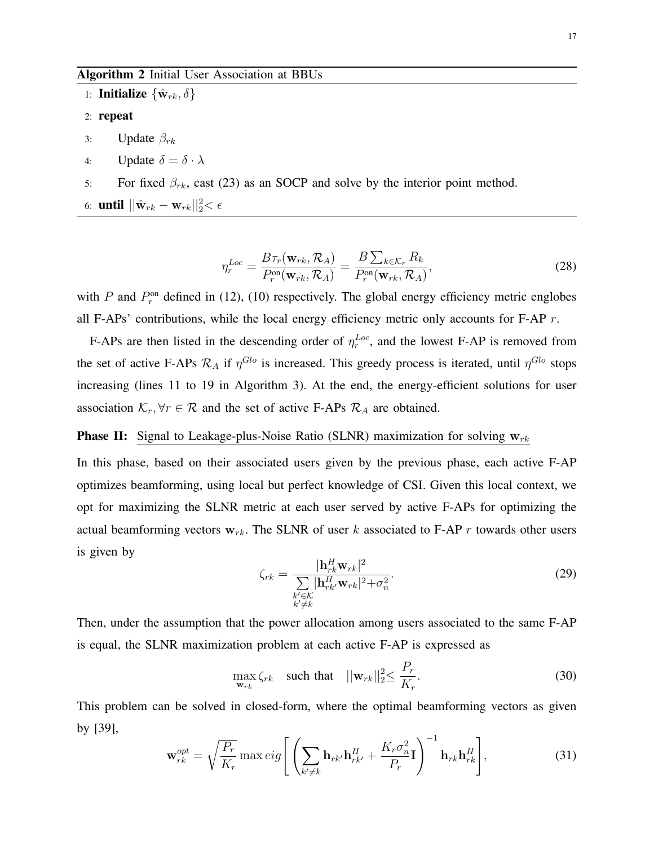# Algorithm 2 Initial User Association at BBUs

1: **Initialize**  $\{\hat{\mathbf{w}}_{rk}, \delta\}$ 

# 2: repeat

- 3: Update  $\beta_{rk}$
- 4: Update  $\delta = \delta \cdot \lambda$
- 5: For fixed  $\beta_{rk}$ , cast (23) as an SOCP and solve by the interior point method.
- 6: **until**  $||\hat{\mathbf{w}}_{rk} \mathbf{w}_{rk}||_2^2 < \epsilon$

$$
\eta_r^{Loc} = \frac{B\tau_r(\mathbf{w}_{rk}, \mathcal{R}_A)}{P_r^{\text{on}}(\mathbf{w}_{rk}, \mathcal{R}_A)} = \frac{B\sum_{k \in \mathcal{K}_r} R_k}{P_r^{\text{on}}(\mathbf{w}_{rk}, \mathcal{R}_A)},\tag{28}
$$

with P and  $P_r^{\text{on}}$  defined in (12), (10) respectively. The global energy efficiency metric englobes all F-APs' contributions, while the local energy efficiency metric only accounts for F-AP  $r$ .

F-APs are then listed in the descending order of  $\eta_r^{Loc}$ , and the lowest F-AP is removed from the set of active F-APs  $\mathcal{R}_A$  if  $\eta^{Glo}$  is increased. This greedy process is iterated, until  $\eta^{Glo}$  stops increasing (lines 11 to 19 in Algorithm 3). At the end, the energy-efficient solutions for user association  $\mathcal{K}_r$ ,  $\forall r \in \mathcal{R}$  and the set of active F-APs  $\mathcal{R}_A$  are obtained.

## **Phase II:** Signal to Leakage-plus-Noise Ratio (SLNR) maximization for solving  $w_{rk}$

In this phase, based on their associated users given by the previous phase, each active F-AP optimizes beamforming, using local but perfect knowledge of CSI. Given this local context, we opt for maximizing the SLNR metric at each user served by active F-APs for optimizing the actual beamforming vectors  $w_{rk}$ . The SLNR of user k associated to F-AP r towards other users is given by

$$
\zeta_{rk} = \frac{|\mathbf{h}_{rk}^H \mathbf{w}_{rk}|^2}{\sum\limits_{\substack{k' \in \mathcal{K} \\ k' \neq k}} |\mathbf{h}_{rk'}^H \mathbf{w}_{rk}|^2 + \sigma_n^2}.
$$
\n(29)

Then, under the assumption that the power allocation among users associated to the same F-AP is equal, the SLNR maximization problem at each active F-AP is expressed as

$$
\max_{\mathbf{w}_{rk}} \zeta_{rk} \quad \text{such that} \quad ||\mathbf{w}_{rk}||_2^2 \le \frac{P_r}{K_r}.\tag{30}
$$

This problem can be solved in closed-form, where the optimal beamforming vectors as given by [39],

$$
\mathbf{w}_{rk}^{opt} = \sqrt{\frac{P_r}{K_r}} \max eig \left[ \left( \sum_{k' \neq k} \mathbf{h}_{rk'} \mathbf{h}_{rk'}^H + \frac{K_r \sigma_n^2}{P_r} \mathbf{I} \right)^{-1} \mathbf{h}_{rk} \mathbf{h}_{rk}^H \right],
$$
(31)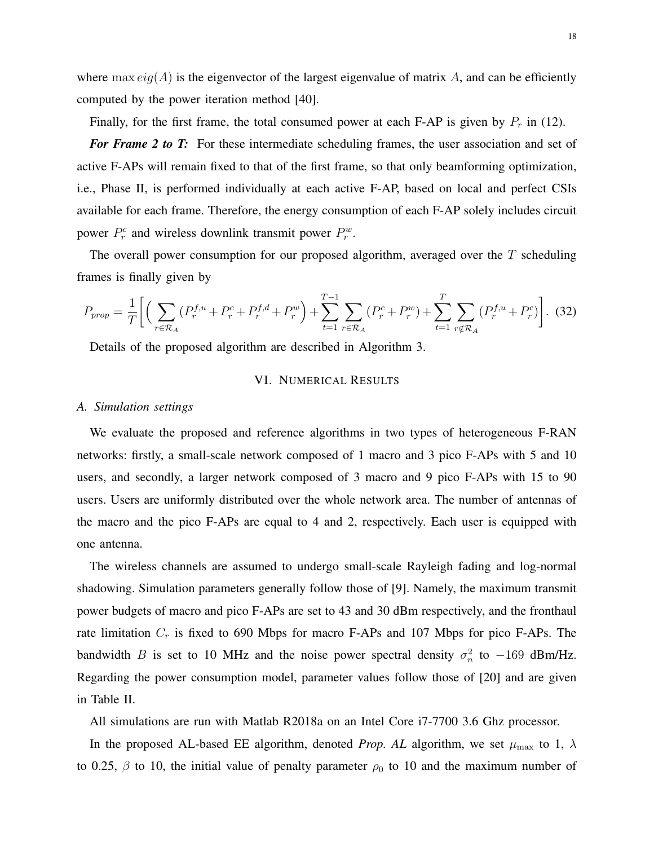where max  $eig(A)$  is the eigenvector of the largest eigenvalue of matrix A, and can be efficiently computed by the power iteration method [40].

Finally, for the first frame, the total consumed power at each F-AP is given by  $P_r$  in (12).

*For Frame 2 to T:* For these intermediate scheduling frames, the user association and set of active F-APs will remain fixed to that of the first frame, so that only beamforming optimization, i.e., Phase II, is performed individually at each active F-AP, based on local and perfect CSIs available for each frame. Therefore, the energy consumption of each F-AP solely includes circuit power  $P_r^c$  and wireless downlink transmit power  $P_r^w$ .

The overall power consumption for our proposed algorithm, averaged over the  $T$  scheduling frames is finally given by

$$
P_{prop} = \frac{1}{T} \bigg[ \bigg( \sum_{r \in \mathcal{R}_A} (P_r^{f,u} + P_r^c + P_r^{f,d} + P_r^w) + \sum_{t=1}^{T-1} \sum_{r \in \mathcal{R}_A} (P_r^c + P_r^w) + \sum_{t=1}^{T} \sum_{r \notin \mathcal{R}_A} (P_r^{f,u} + P_r^c) \bigg]. \tag{32}
$$

Details of the proposed algorithm are described in Algorithm 3.

#### VI. NUMERICAL RESULTS

## *A. Simulation settings*

We evaluate the proposed and reference algorithms in two types of heterogeneous F-RAN networks: firstly, a small-scale network composed of 1 macro and 3 pico F-APs with 5 and 10 users, and secondly, a larger network composed of 3 macro and 9 pico F-APs with 15 to 90 users. Users are uniformly distributed over the whole network area. The number of antennas of the macro and the pico F-APs are equal to 4 and 2, respectively. Each user is equipped with one antenna.

The wireless channels are assumed to undergo small-scale Rayleigh fading and log-normal shadowing. Simulation parameters generally follow those of [9]. Namely, the maximum transmit power budgets of macro and pico F-APs are set to 43 and 30 dBm respectively, and the fronthaul rate limitation  $C_r$  is fixed to 690 Mbps for macro F-APs and 107 Mbps for pico F-APs. The bandwidth B is set to 10 MHz and the noise power spectral density  $\sigma_n^2$  to  $-169$  dBm/Hz. Regarding the power consumption model, parameter values follow those of [20] and are given in Table II.

All simulations are run with Matlab R2018a on an Intel Core i7-7700 3.6 Ghz processor.

In the proposed AL-based EE algorithm, denoted *Prop. AL* algorithm, we set  $\mu_{\text{max}}$  to 1,  $\lambda$ to 0.25,  $\beta$  to 10, the initial value of penalty parameter  $\rho_0$  to 10 and the maximum number of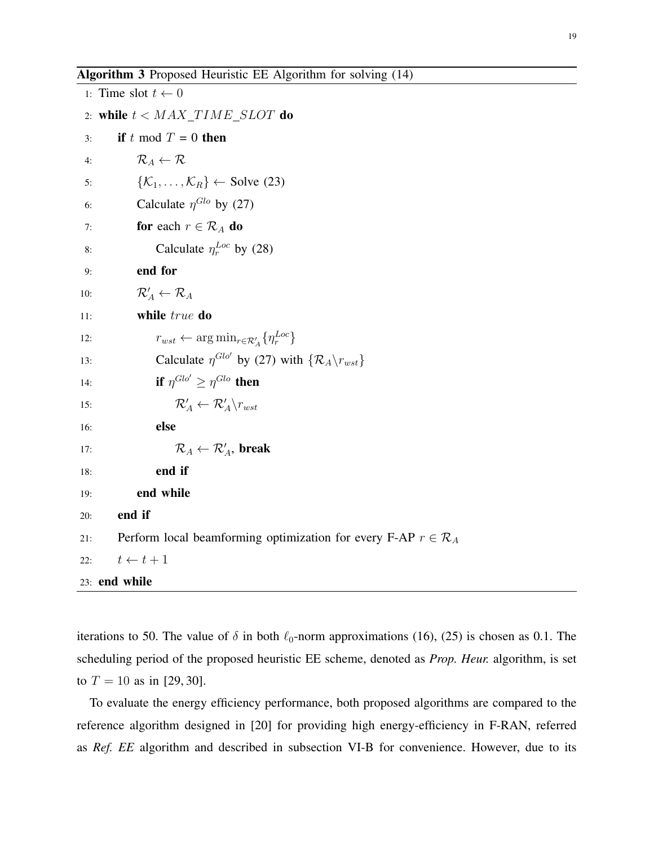Algorithm 3 Proposed Heuristic EE Algorithm for solving (14)

1: Time slot  $t \leftarrow 0$ 2: while  $t < MAX\_TIME\_SLOT$  do 3: if t mod  $T = 0$  then 4:  $\mathcal{R}_A \leftarrow \mathcal{R}$ 5:  $\{\mathcal{K}_1, \ldots, \mathcal{K}_R\} \leftarrow$  Solve (23) 6: Calculate  $\eta^{Glo}$  by (27) 7: **for** each  $r \in \mathcal{R}_A$  **do** 8: Calculate  $\eta_r^{Loc}$  by (28) 9: end for 10:  $\mathcal{R}'_A \leftarrow \mathcal{R}_A$ 11: **while** true **do** 12:  $r_{wst} \leftarrow \arg \min_{r \in \mathcal{R}'_A} \{ \eta_r^{Loc} \}$ 13: Calculate  $\eta^{Glo'}$  by (27) with  $\{R_A\}_{rust}$ 14: **if**  $\eta^{Glo'} \geq \eta^{Glo}$  then 15:  $\mathcal{R}'_A \leftarrow \mathcal{R}'_A \backslash r_{wst}$ 16: else 17:  $\mathcal{R}_A \leftarrow \mathcal{R}_A'$ , break 18: end if 19: end while 20: end if 21: Perform local beamforming optimization for every F-AP  $r \in \mathcal{R}_A$ 22:  $t \leftarrow t + 1$ 23: end while

iterations to 50. The value of  $\delta$  in both  $\ell_0$ -norm approximations (16), (25) is chosen as 0.1. The scheduling period of the proposed heuristic EE scheme, denoted as *Prop. Heur.* algorithm, is set to  $T = 10$  as in [29, 30].

To evaluate the energy efficiency performance, both proposed algorithms are compared to the reference algorithm designed in [20] for providing high energy-efficiency in F-RAN, referred as *Ref. EE* algorithm and described in subsection VI-B for convenience. However, due to its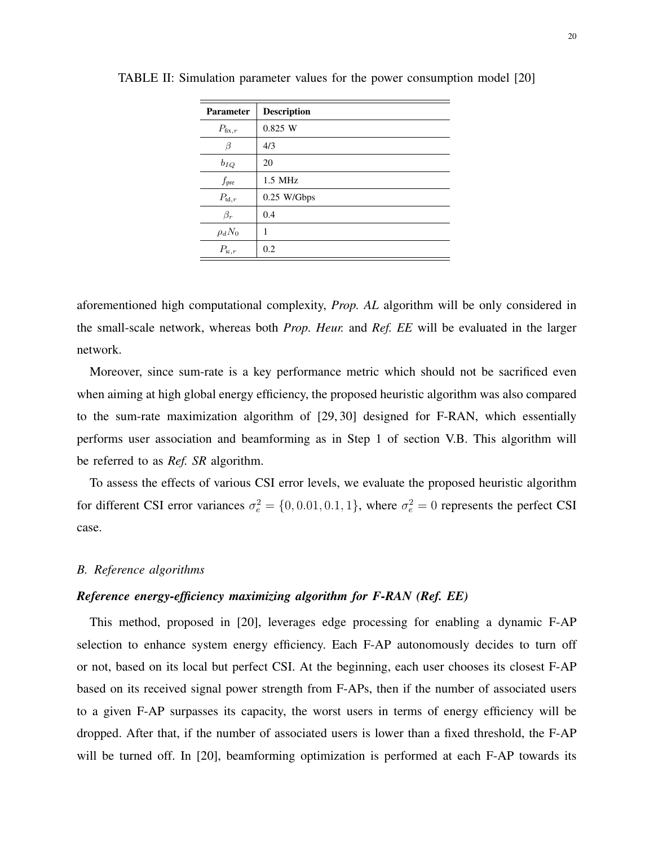| <b>Parameter</b>    | <b>Description</b> |
|---------------------|--------------------|
| $P_{\text{fix},r}$  | 0.825 W            |
| β                   | 4/3                |
| $b_{IQ}$            | 20                 |
| $f_{\rm pre}$       | $1.5$ MHz          |
| $P_{\mathrm{td},r}$ | $0.25$ W/Gbps      |
| $\beta_r$           | 0.4                |
| $\rho_d N_0$        | 1                  |
| $P_{\text{ic},r}$   | 0.2                |

TABLE II: Simulation parameter values for the power consumption model [20]

aforementioned high computational complexity, *Prop. AL* algorithm will be only considered in the small-scale network, whereas both *Prop. Heur.* and *Ref. EE* will be evaluated in the larger network.

Moreover, since sum-rate is a key performance metric which should not be sacrificed even when aiming at high global energy efficiency, the proposed heuristic algorithm was also compared to the sum-rate maximization algorithm of [29, 30] designed for F-RAN, which essentially performs user association and beamforming as in Step 1 of section V.B. This algorithm will be referred to as *Ref. SR* algorithm.

To assess the effects of various CSI error levels, we evaluate the proposed heuristic algorithm for different CSI error variances  $\sigma_e^2 = \{0, 0.01, 0.1, 1\}$ , where  $\sigma_e^2 = 0$  represents the perfect CSI case.

## *B. Reference algorithms*

## *Reference energy-efficiency maximizing algorithm for F-RAN (Ref. EE)*

This method, proposed in [20], leverages edge processing for enabling a dynamic F-AP selection to enhance system energy efficiency. Each F-AP autonomously decides to turn off or not, based on its local but perfect CSI. At the beginning, each user chooses its closest F-AP based on its received signal power strength from F-APs, then if the number of associated users to a given F-AP surpasses its capacity, the worst users in terms of energy efficiency will be dropped. After that, if the number of associated users is lower than a fixed threshold, the F-AP will be turned off. In [20], beamforming optimization is performed at each F-AP towards its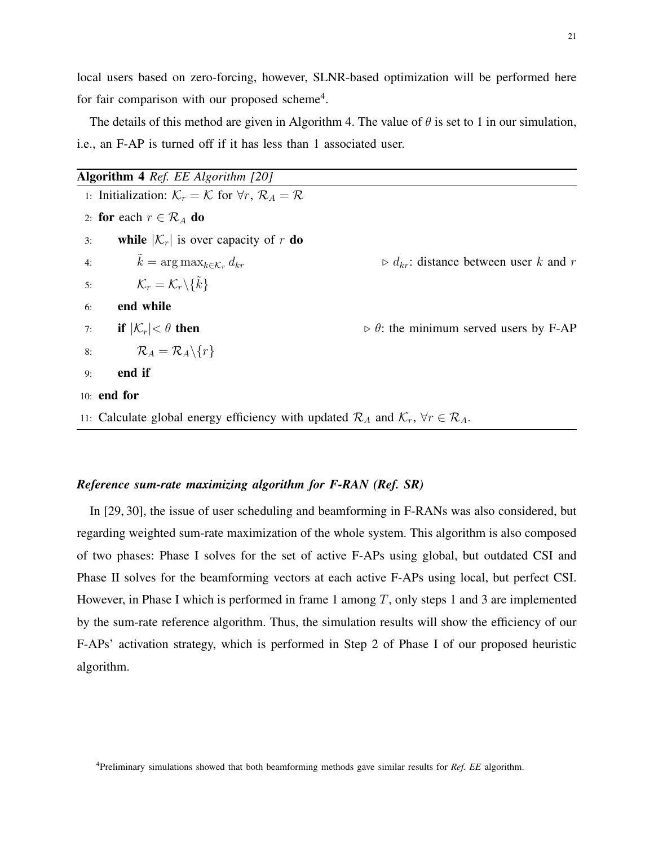local users based on zero-forcing, however, SLNR-based optimization will be performed here for fair comparison with our proposed scheme<sup>4</sup>.

The details of this method are given in Algorithm 4. The value of  $\theta$  is set to 1 in our simulation, i.e., an F-AP is turned off if it has less than 1 associated user.

|    | <b>Algorithm 4</b> Ref. EE Algorithm [20]                                                                                 |                                                              |
|----|---------------------------------------------------------------------------------------------------------------------------|--------------------------------------------------------------|
|    | 1: Initialization: $\mathcal{K}_r = \mathcal{K}$ for $\forall r, \mathcal{R}_A = \mathcal{R}$                             |                                                              |
|    | 2: for each $r \in \mathcal{R}_A$ do                                                                                      |                                                              |
| 3: | while $ \mathcal{K}_r $ is over capacity of r <b>do</b>                                                                   |                                                              |
|    | 4: $\tilde{k} = \arg \max_{k \in \mathcal{K}_r} d_{kr}$                                                                   | $\triangleright d_{kr}$ : distance between user k and r      |
|    | 5: $\mathcal{K}_r = \mathcal{K}_r \backslash {\tilde{k}}$                                                                 |                                                              |
| 6: | end while                                                                                                                 |                                                              |
|    | 7: if $ \mathcal{K}_r  < \theta$ then                                                                                     | $\triangleright$ $\theta$ : the minimum served users by F-AP |
|    | 8: $\mathcal{R}_A = \mathcal{R}_A \backslash \{r\}$                                                                       |                                                              |
| 9: | end if                                                                                                                    |                                                              |
|    | $10:$ end for                                                                                                             |                                                              |
|    | 11: Calculate global energy efficiency with updated $\mathcal{R}_A$ and $\mathcal{K}_r$ , $\forall r \in \mathcal{R}_A$ . |                                                              |

## *Reference sum-rate maximizing algorithm for F-RAN (Ref. SR)*

In [29, 30], the issue of user scheduling and beamforming in F-RANs was also considered, but regarding weighted sum-rate maximization of the whole system. This algorithm is also composed of two phases: Phase I solves for the set of active F-APs using global, but outdated CSI and Phase II solves for the beamforming vectors at each active F-APs using local, but perfect CSI. However, in Phase I which is performed in frame 1 among  $T$ , only steps 1 and 3 are implemented by the sum-rate reference algorithm. Thus, the simulation results will show the efficiency of our F-APs' activation strategy, which is performed in Step 2 of Phase I of our proposed heuristic algorithm.

4 Preliminary simulations showed that both beamforming methods gave similar results for *Ref. EE* algorithm.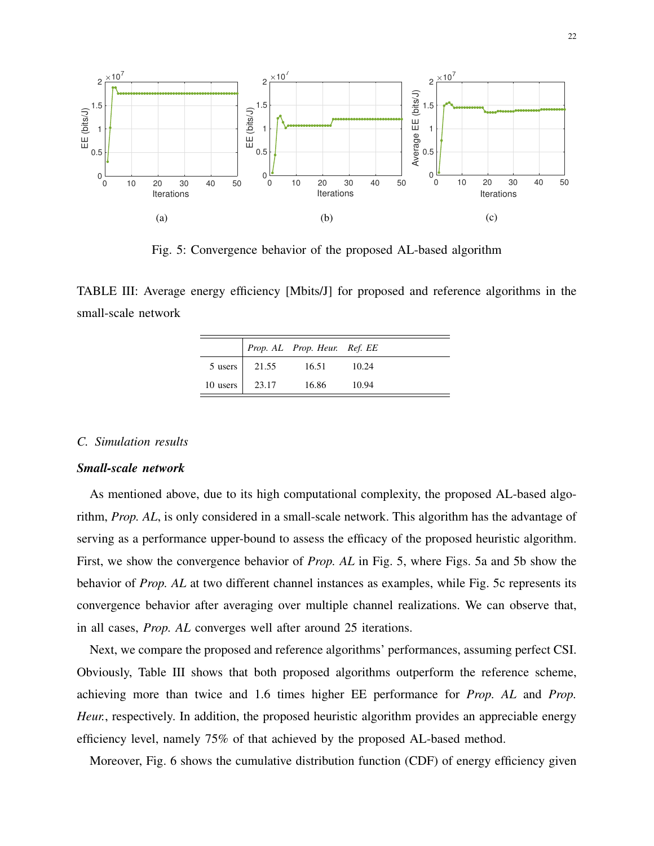

Fig. 5: Convergence behavior of the proposed AL-based algorithm

TABLE III: Average energy efficiency [Mbits/J] for proposed and reference algorithms in the small-scale network

|                |                 | Prop. AL Prop. Heur. Ref. EE |       |  |
|----------------|-----------------|------------------------------|-------|--|
|                | 5 users   21.55 | 16.51                        | 10.24 |  |
| 10 users 23.17 |                 | 16.86                        | 10.94 |  |

## *C. Simulation results*

## *Small-scale network*

As mentioned above, due to its high computational complexity, the proposed AL-based algorithm, *Prop. AL*, is only considered in a small-scale network. This algorithm has the advantage of serving as a performance upper-bound to assess the efficacy of the proposed heuristic algorithm. First, we show the convergence behavior of *Prop. AL* in Fig. 5, where Figs. 5a and 5b show the behavior of *Prop. AL* at two different channel instances as examples, while Fig. 5c represents its convergence behavior after averaging over multiple channel realizations. We can observe that, in all cases, *Prop. AL* converges well after around 25 iterations.

Next, we compare the proposed and reference algorithms' performances, assuming perfect CSI. Obviously, Table III shows that both proposed algorithms outperform the reference scheme, achieving more than twice and 1.6 times higher EE performance for *Prop. AL* and *Prop. Heur.*, respectively. In addition, the proposed heuristic algorithm provides an appreciable energy efficiency level, namely 75% of that achieved by the proposed AL-based method.

Moreover, Fig. 6 shows the cumulative distribution function (CDF) of energy efficiency given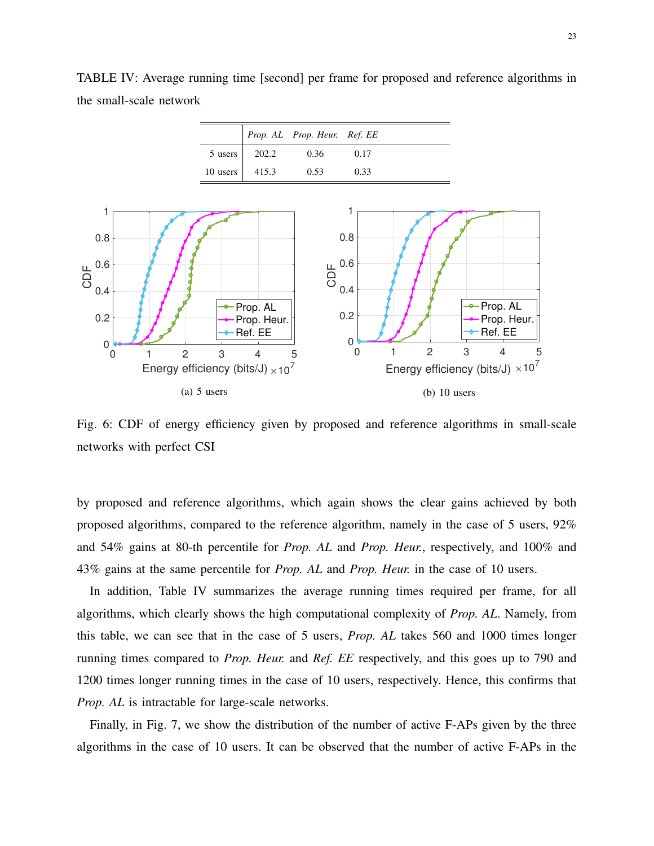

TABLE IV: Average running time [second] per frame for proposed and reference algorithms in the small-scale network



Fig. 6: CDF of energy efficiency given by proposed and reference algorithms in small-scale networks with perfect CSI

by proposed and reference algorithms, which again shows the clear gains achieved by both proposed algorithms, compared to the reference algorithm, namely in the case of 5 users, 92% and 54% gains at 80-th percentile for *Prop. AL* and *Prop. Heur.*, respectively, and 100% and 43% gains at the same percentile for *Prop. AL* and *Prop. Heur.* in the case of 10 users.

In addition, Table IV summarizes the average running times required per frame, for all algorithms, which clearly shows the high computational complexity of *Prop. AL*. Namely, from this table, we can see that in the case of 5 users, *Prop. AL* takes 560 and 1000 times longer running times compared to *Prop. Heur.* and *Ref. EE* respectively, and this goes up to 790 and 1200 times longer running times in the case of 10 users, respectively. Hence, this confirms that *Prop. AL* is intractable for large-scale networks.

Finally, in Fig. 7, we show the distribution of the number of active F-APs given by the three algorithms in the case of 10 users. It can be observed that the number of active F-APs in the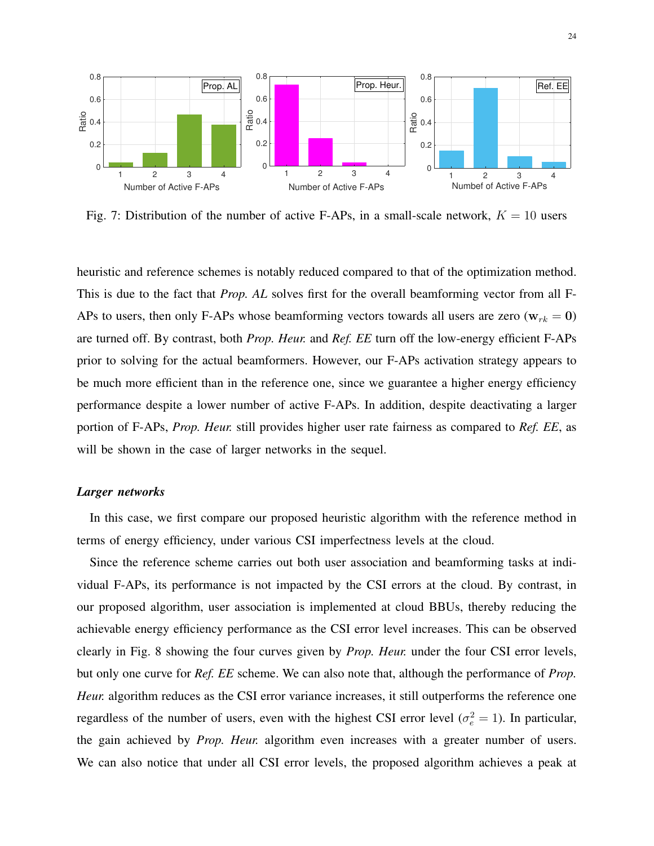

Fig. 7: Distribution of the number of active F-APs, in a small-scale network,  $K = 10$  users

heuristic and reference schemes is notably reduced compared to that of the optimization method. This is due to the fact that *Prop. AL* solves first for the overall beamforming vector from all F-APs to users, then only F-APs whose beamforming vectors towards all users are zero ( $w_{rk} = 0$ ) are turned off. By contrast, both *Prop. Heur.* and *Ref. EE* turn off the low-energy efficient F-APs prior to solving for the actual beamformers. However, our F-APs activation strategy appears to be much more efficient than in the reference one, since we guarantee a higher energy efficiency performance despite a lower number of active F-APs. In addition, despite deactivating a larger portion of F-APs, *Prop. Heur.* still provides higher user rate fairness as compared to *Ref. EE*, as will be shown in the case of larger networks in the sequel.

## *Larger networks*

In this case, we first compare our proposed heuristic algorithm with the reference method in terms of energy efficiency, under various CSI imperfectness levels at the cloud.

Since the reference scheme carries out both user association and beamforming tasks at individual F-APs, its performance is not impacted by the CSI errors at the cloud. By contrast, in our proposed algorithm, user association is implemented at cloud BBUs, thereby reducing the achievable energy efficiency performance as the CSI error level increases. This can be observed clearly in Fig. 8 showing the four curves given by *Prop. Heur.* under the four CSI error levels, but only one curve for *Ref. EE* scheme. We can also note that, although the performance of *Prop. Heur.* algorithm reduces as the CSI error variance increases, it still outperforms the reference one regardless of the number of users, even with the highest CSI error level ( $\sigma_e^2 = 1$ ). In particular, the gain achieved by *Prop. Heur.* algorithm even increases with a greater number of users. We can also notice that under all CSI error levels, the proposed algorithm achieves a peak at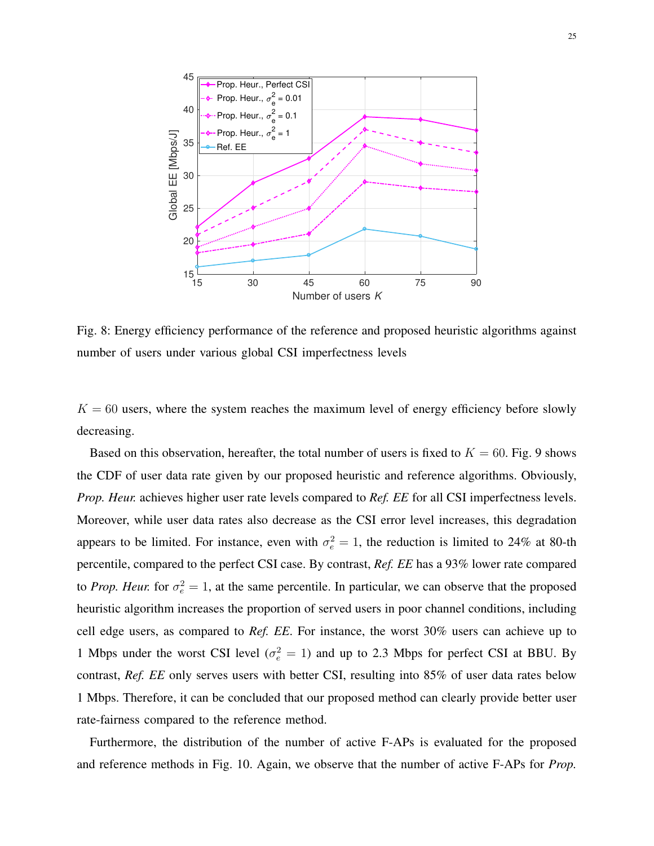

Fig. 8: Energy efficiency performance of the reference and proposed heuristic algorithms against number of users under various global CSI imperfectness levels

 $K = 60$  users, where the system reaches the maximum level of energy efficiency before slowly decreasing.

Based on this observation, hereafter, the total number of users is fixed to  $K = 60$ . Fig. 9 shows the CDF of user data rate given by our proposed heuristic and reference algorithms. Obviously, *Prop. Heur.* achieves higher user rate levels compared to *Ref. EE* for all CSI imperfectness levels. Moreover, while user data rates also decrease as the CSI error level increases, this degradation appears to be limited. For instance, even with  $\sigma_e^2 = 1$ , the reduction is limited to 24% at 80-th percentile, compared to the perfect CSI case. By contrast, *Ref. EE* has a 93% lower rate compared to *Prop. Heur.* for  $\sigma_e^2 = 1$ , at the same percentile. In particular, we can observe that the proposed heuristic algorithm increases the proportion of served users in poor channel conditions, including cell edge users, as compared to *Ref. EE*. For instance, the worst 30% users can achieve up to 1 Mbps under the worst CSI level ( $\sigma_e^2 = 1$ ) and up to 2.3 Mbps for perfect CSI at BBU. By contrast, *Ref. EE* only serves users with better CSI, resulting into 85% of user data rates below 1 Mbps. Therefore, it can be concluded that our proposed method can clearly provide better user rate-fairness compared to the reference method.

Furthermore, the distribution of the number of active F-APs is evaluated for the proposed and reference methods in Fig. 10. Again, we observe that the number of active F-APs for *Prop.*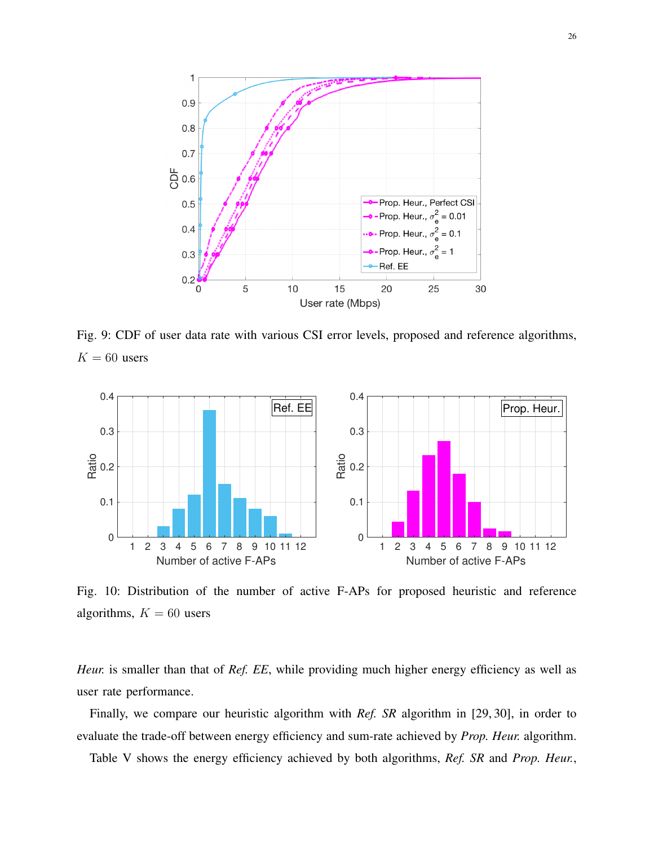

Fig. 9: CDF of user data rate with various CSI error levels, proposed and reference algorithms,  $K = 60$  users



Fig. 10: Distribution of the number of active F-APs for proposed heuristic and reference algorithms,  $K = 60$  users

*Heur.* is smaller than that of *Ref. EE*, while providing much higher energy efficiency as well as user rate performance.

Finally, we compare our heuristic algorithm with *Ref. SR* algorithm in [29, 30], in order to evaluate the trade-off between energy efficiency and sum-rate achieved by *Prop. Heur.* algorithm.

Table V shows the energy efficiency achieved by both algorithms, *Ref. SR* and *Prop. Heur.*,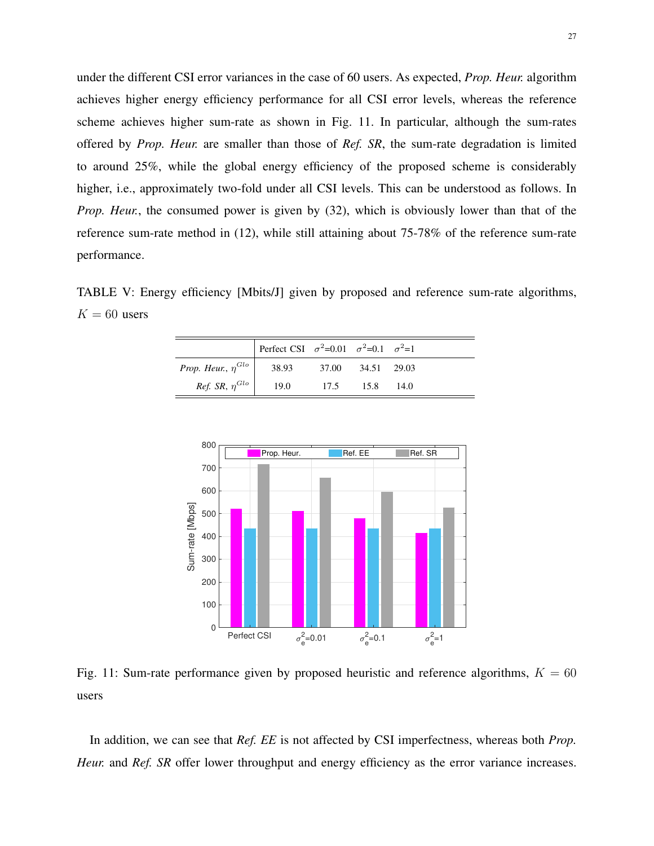under the different CSI error variances in the case of 60 users. As expected, *Prop. Heur.* algorithm achieves higher energy efficiency performance for all CSI error levels, whereas the reference scheme achieves higher sum-rate as shown in Fig. 11. In particular, although the sum-rates offered by *Prop. Heur.* are smaller than those of *Ref. SR*, the sum-rate degradation is limited to around 25%, while the global energy efficiency of the proposed scheme is considerably higher, i.e., approximately two-fold under all CSI levels. This can be understood as follows. In *Prop. Heur.*, the consumed power is given by (32), which is obviously lower than that of the reference sum-rate method in (12), while still attaining about 75-78% of the reference sum-rate performance.

TABLE V: Energy efficiency [Mbits/J] given by proposed and reference sum-rate algorithms,  $K = 60$  users

|                                  | Perfect CSI $\sigma^2 = 0.01$ $\sigma^2 = 0.1$ $\sigma^2 = 1$ |                   |       |  |
|----------------------------------|---------------------------------------------------------------|-------------------|-------|--|
| <i>Prop. Heur.,</i> $\eta^{Glo}$ | 38.93                                                         | 37.00 34.51 29.03 |       |  |
| <i>Ref.</i> SR, $\eta^{Glo}$     | 19.0                                                          | 17.5 15.8         | -14.0 |  |



Fig. 11: Sum-rate performance given by proposed heuristic and reference algorithms,  $K = 60$ users

In addition, we can see that *Ref. EE* is not affected by CSI imperfectness, whereas both *Prop. Heur.* and *Ref. SR* offer lower throughput and energy efficiency as the error variance increases.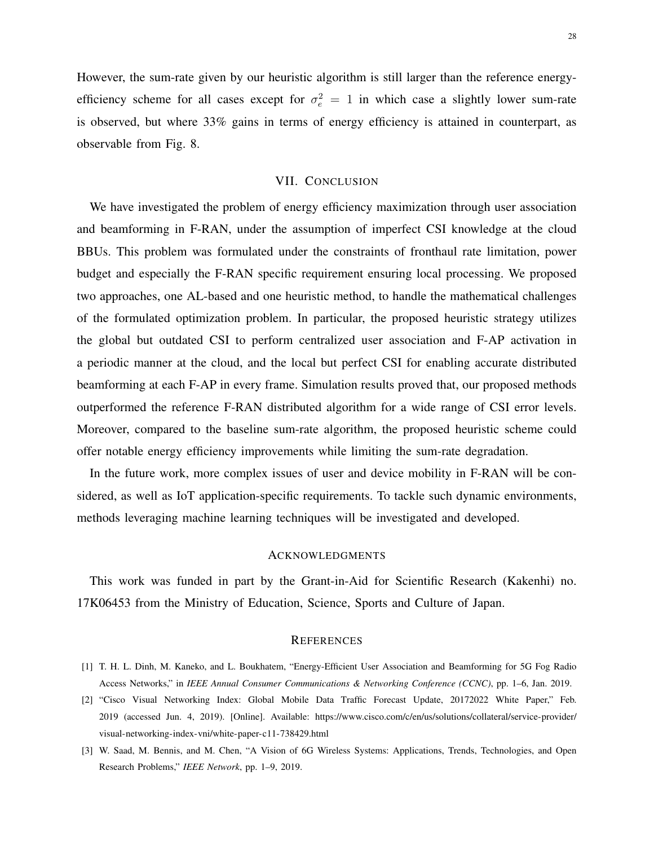However, the sum-rate given by our heuristic algorithm is still larger than the reference energyefficiency scheme for all cases except for  $\sigma_e^2 = 1$  in which case a slightly lower sum-rate is observed, but where 33% gains in terms of energy efficiency is attained in counterpart, as observable from Fig. 8.

## VII. CONCLUSION

We have investigated the problem of energy efficiency maximization through user association and beamforming in F-RAN, under the assumption of imperfect CSI knowledge at the cloud BBUs. This problem was formulated under the constraints of fronthaul rate limitation, power budget and especially the F-RAN specific requirement ensuring local processing. We proposed two approaches, one AL-based and one heuristic method, to handle the mathematical challenges of the formulated optimization problem. In particular, the proposed heuristic strategy utilizes the global but outdated CSI to perform centralized user association and F-AP activation in a periodic manner at the cloud, and the local but perfect CSI for enabling accurate distributed beamforming at each F-AP in every frame. Simulation results proved that, our proposed methods outperformed the reference F-RAN distributed algorithm for a wide range of CSI error levels. Moreover, compared to the baseline sum-rate algorithm, the proposed heuristic scheme could offer notable energy efficiency improvements while limiting the sum-rate degradation.

In the future work, more complex issues of user and device mobility in F-RAN will be considered, as well as IoT application-specific requirements. To tackle such dynamic environments, methods leveraging machine learning techniques will be investigated and developed.

#### ACKNOWLEDGMENTS

This work was funded in part by the Grant-in-Aid for Scientific Research (Kakenhi) no. 17K06453 from the Ministry of Education, Science, Sports and Culture of Japan.

#### **REFERENCES**

- [1] T. H. L. Dinh, M. Kaneko, and L. Boukhatem, "Energy-Efficient User Association and Beamforming for 5G Fog Radio Access Networks," in *IEEE Annual Consumer Communications & Networking Conference (CCNC)*, pp. 1–6, Jan. 2019.
- [2] "Cisco Visual Networking Index: Global Mobile Data Traffic Forecast Update, 20172022 White Paper," Feb. 2019 (accessed Jun. 4, 2019). [Online]. Available: https://www.cisco.com/c/en/us/solutions/collateral/service-provider/ visual-networking-index-vni/white-paper-c11-738429.html
- [3] W. Saad, M. Bennis, and M. Chen, "A Vision of 6G Wireless Systems: Applications, Trends, Technologies, and Open Research Problems," *IEEE Network*, pp. 1–9, 2019.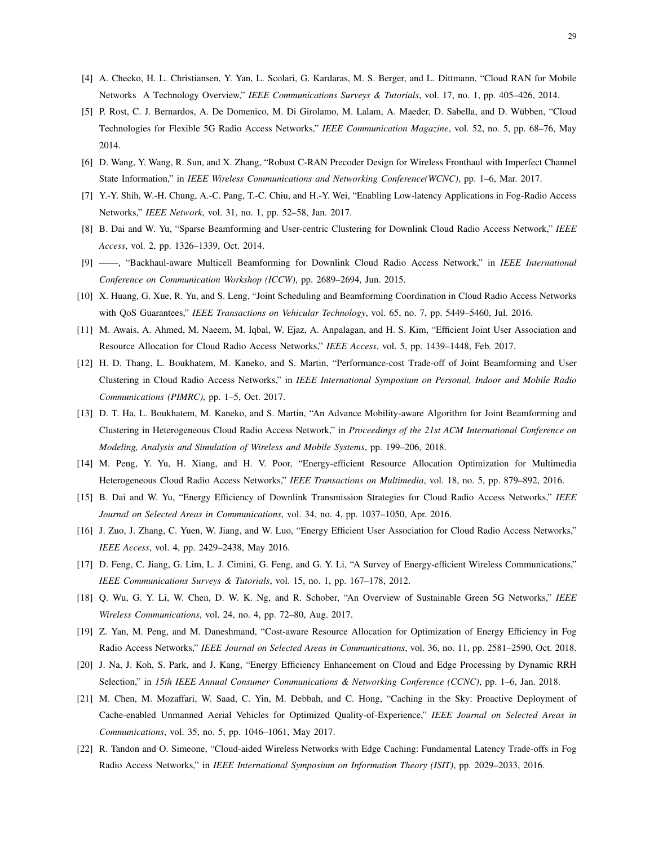- [4] A. Checko, H. L. Christiansen, Y. Yan, L. Scolari, G. Kardaras, M. S. Berger, and L. Dittmann, "Cloud RAN for Mobile Networks A Technology Overview," *IEEE Communications Surveys & Tutorials*, vol. 17, no. 1, pp. 405–426, 2014.
- [5] P. Rost, C. J. Bernardos, A. De Domenico, M. Di Girolamo, M. Lalam, A. Maeder, D. Sabella, and D. Wübben, "Cloud Technologies for Flexible 5G Radio Access Networks," *IEEE Communication Magazine*, vol. 52, no. 5, pp. 68–76, May 2014.
- [6] D. Wang, Y. Wang, R. Sun, and X. Zhang, "Robust C-RAN Precoder Design for Wireless Fronthaul with Imperfect Channel State Information," in *IEEE Wireless Communications and Networking Conference(WCNC)*, pp. 1–6, Mar. 2017.
- [7] Y.-Y. Shih, W.-H. Chung, A.-C. Pang, T.-C. Chiu, and H.-Y. Wei, "Enabling Low-latency Applications in Fog-Radio Access Networks," *IEEE Network*, vol. 31, no. 1, pp. 52–58, Jan. 2017.
- [8] B. Dai and W. Yu, "Sparse Beamforming and User-centric Clustering for Downlink Cloud Radio Access Network," *IEEE Access*, vol. 2, pp. 1326–1339, Oct. 2014.
- [9] ——, "Backhaul-aware Multicell Beamforming for Downlink Cloud Radio Access Network," in *IEEE International Conference on Communication Workshop (ICCW)*, pp. 2689–2694, Jun. 2015.
- [10] X. Huang, G. Xue, R. Yu, and S. Leng, "Joint Scheduling and Beamforming Coordination in Cloud Radio Access Networks with QoS Guarantees," *IEEE Transactions on Vehicular Technology*, vol. 65, no. 7, pp. 5449–5460, Jul. 2016.
- [11] M. Awais, A. Ahmed, M. Naeem, M. Iqbal, W. Ejaz, A. Anpalagan, and H. S. Kim, "Efficient Joint User Association and Resource Allocation for Cloud Radio Access Networks," *IEEE Access*, vol. 5, pp. 1439–1448, Feb. 2017.
- [12] H. D. Thang, L. Boukhatem, M. Kaneko, and S. Martin, "Performance-cost Trade-off of Joint Beamforming and User Clustering in Cloud Radio Access Networks," in *IEEE International Symposium on Personal, Indoor and Mobile Radio Communications (PIMRC)*, pp. 1–5, Oct. 2017.
- [13] D. T. Ha, L. Boukhatem, M. Kaneko, and S. Martin, "An Advance Mobility-aware Algorithm for Joint Beamforming and Clustering in Heterogeneous Cloud Radio Access Network," in *Proceedings of the 21st ACM International Conference on Modeling, Analysis and Simulation of Wireless and Mobile Systems*, pp. 199–206, 2018.
- [14] M. Peng, Y. Yu, H. Xiang, and H. V. Poor, "Energy-efficient Resource Allocation Optimization for Multimedia Heterogeneous Cloud Radio Access Networks," *IEEE Transactions on Multimedia*, vol. 18, no. 5, pp. 879–892, 2016.
- [15] B. Dai and W. Yu, "Energy Efficiency of Downlink Transmission Strategies for Cloud Radio Access Networks," *IEEE Journal on Selected Areas in Communications*, vol. 34, no. 4, pp. 1037–1050, Apr. 2016.
- [16] J. Zuo, J. Zhang, C. Yuen, W. Jiang, and W. Luo, "Energy Efficient User Association for Cloud Radio Access Networks," *IEEE Access*, vol. 4, pp. 2429–2438, May 2016.
- [17] D. Feng, C. Jiang, G. Lim, L. J. Cimini, G. Feng, and G. Y. Li, "A Survey of Energy-efficient Wireless Communications," *IEEE Communications Surveys & Tutorials*, vol. 15, no. 1, pp. 167–178, 2012.
- [18] Q. Wu, G. Y. Li, W. Chen, D. W. K. Ng, and R. Schober, "An Overview of Sustainable Green 5G Networks," *IEEE Wireless Communications*, vol. 24, no. 4, pp. 72–80, Aug. 2017.
- [19] Z. Yan, M. Peng, and M. Daneshmand, "Cost-aware Resource Allocation for Optimization of Energy Efficiency in Fog Radio Access Networks," *IEEE Journal on Selected Areas in Communications*, vol. 36, no. 11, pp. 2581–2590, Oct. 2018.
- [20] J. Na, J. Koh, S. Park, and J. Kang, "Energy Efficiency Enhancement on Cloud and Edge Processing by Dynamic RRH Selection," in *15th IEEE Annual Consumer Communications & Networking Conference (CCNC)*, pp. 1–6, Jan. 2018.
- [21] M. Chen, M. Mozaffari, W. Saad, C. Yin, M. Debbah, and C. Hong, "Caching in the Sky: Proactive Deployment of Cache-enabled Unmanned Aerial Vehicles for Optimized Quality-of-Experience," *IEEE Journal on Selected Areas in Communications*, vol. 35, no. 5, pp. 1046–1061, May 2017.
- [22] R. Tandon and O. Simeone, "Cloud-aided Wireless Networks with Edge Caching: Fundamental Latency Trade-offs in Fog Radio Access Networks," in *IEEE International Symposium on Information Theory (ISIT)*, pp. 2029–2033, 2016.